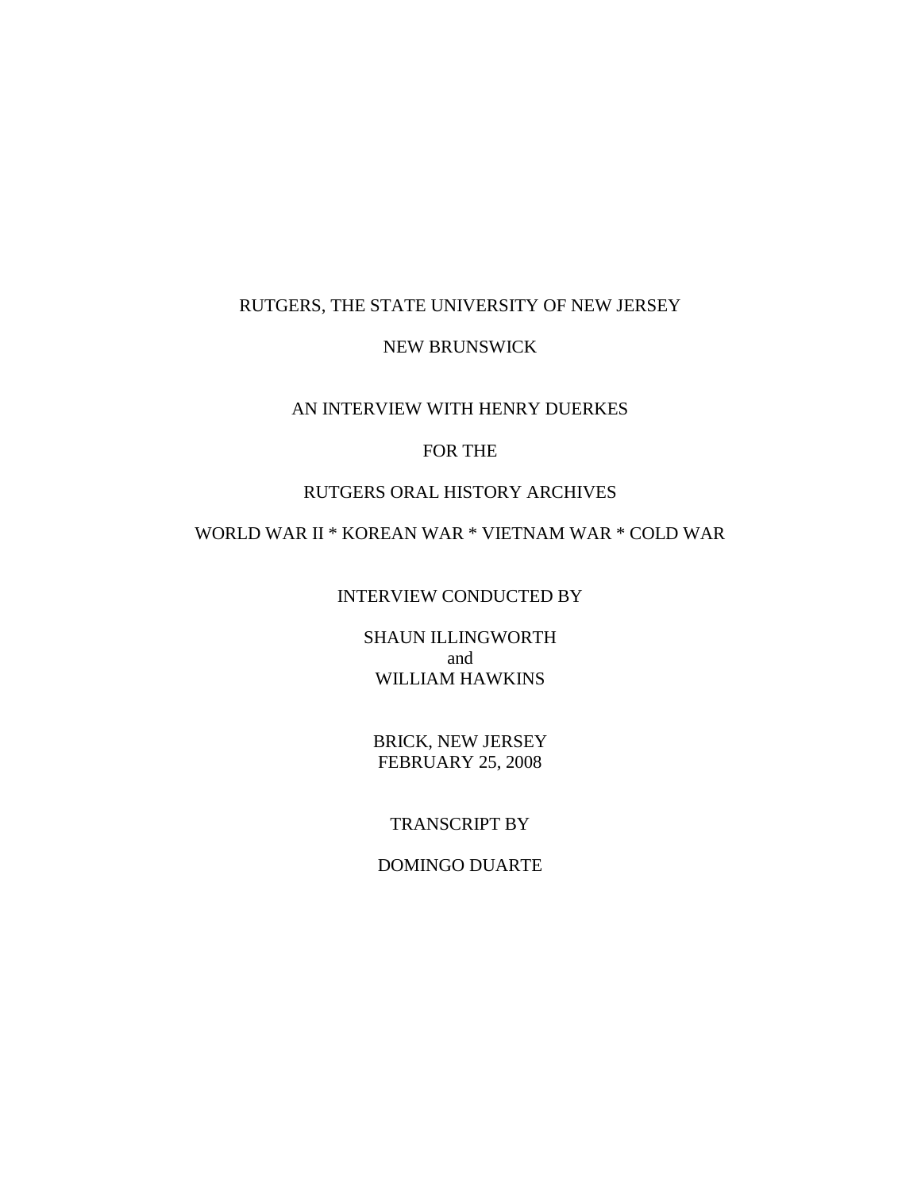### RUTGERS, THE STATE UNIVERSITY OF NEW JERSEY

### NEW BRUNSWICK

## AN INTERVIEW WITH HENRY DUERKES

# FOR THE

## RUTGERS ORAL HISTORY ARCHIVES

# WORLD WAR II \* KOREAN WAR \* VIETNAM WAR \* COLD WAR

# INTERVIEW CONDUCTED BY

SHAUN ILLINGWORTH and WILLIAM HAWKINS

BRICK, NEW JERSEY FEBRUARY 25, 2008

## TRANSCRIPT BY

### DOMINGO DUARTE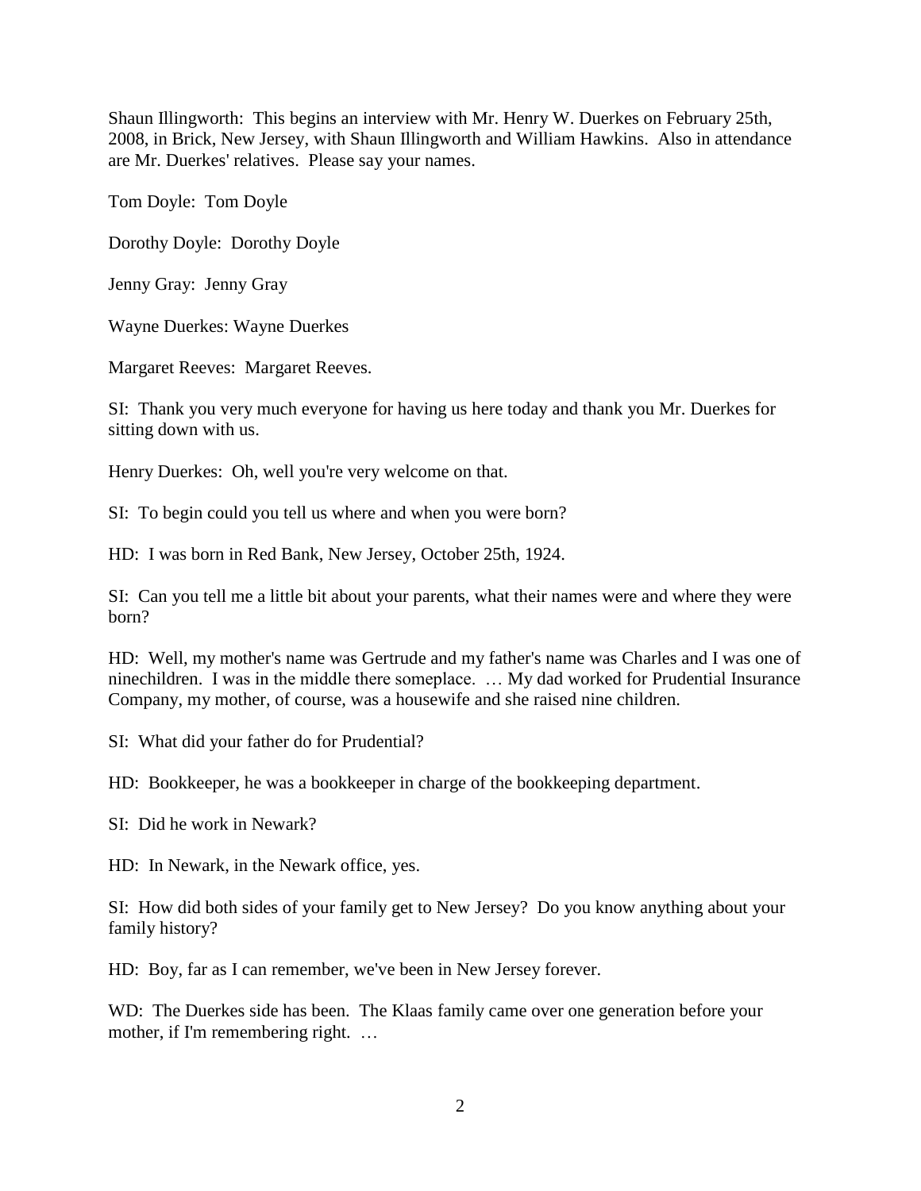Shaun Illingworth: This begins an interview with Mr. Henry W. Duerkes on February 25th, 2008, in Brick, New Jersey, with Shaun Illingworth and William Hawkins. Also in attendance are Mr. Duerkes' relatives. Please say your names.

Tom Doyle: Tom Doyle

Dorothy Doyle: Dorothy Doyle

Jenny Gray: Jenny Gray

Wayne Duerkes: Wayne Duerkes

Margaret Reeves: Margaret Reeves.

SI: Thank you very much everyone for having us here today and thank you Mr. Duerkes for sitting down with us.

Henry Duerkes: Oh, well you're very welcome on that.

SI: To begin could you tell us where and when you were born?

HD: I was born in Red Bank, New Jersey, October 25th, 1924.

SI: Can you tell me a little bit about your parents, what their names were and where they were born?

HD: Well, my mother's name was Gertrude and my father's name was Charles and I was one of ninechildren. I was in the middle there someplace. … My dad worked for Prudential Insurance Company, my mother, of course, was a housewife and she raised nine children.

SI: What did your father do for Prudential?

HD: Bookkeeper, he was a bookkeeper in charge of the bookkeeping department.

SI: Did he work in Newark?

HD: In Newark, in the Newark office, yes.

SI: How did both sides of your family get to New Jersey? Do you know anything about your family history?

HD: Boy, far as I can remember, we've been in New Jersey forever.

WD: The Duerkes side has been. The Klaas family came over one generation before your mother, if I'm remembering right. ...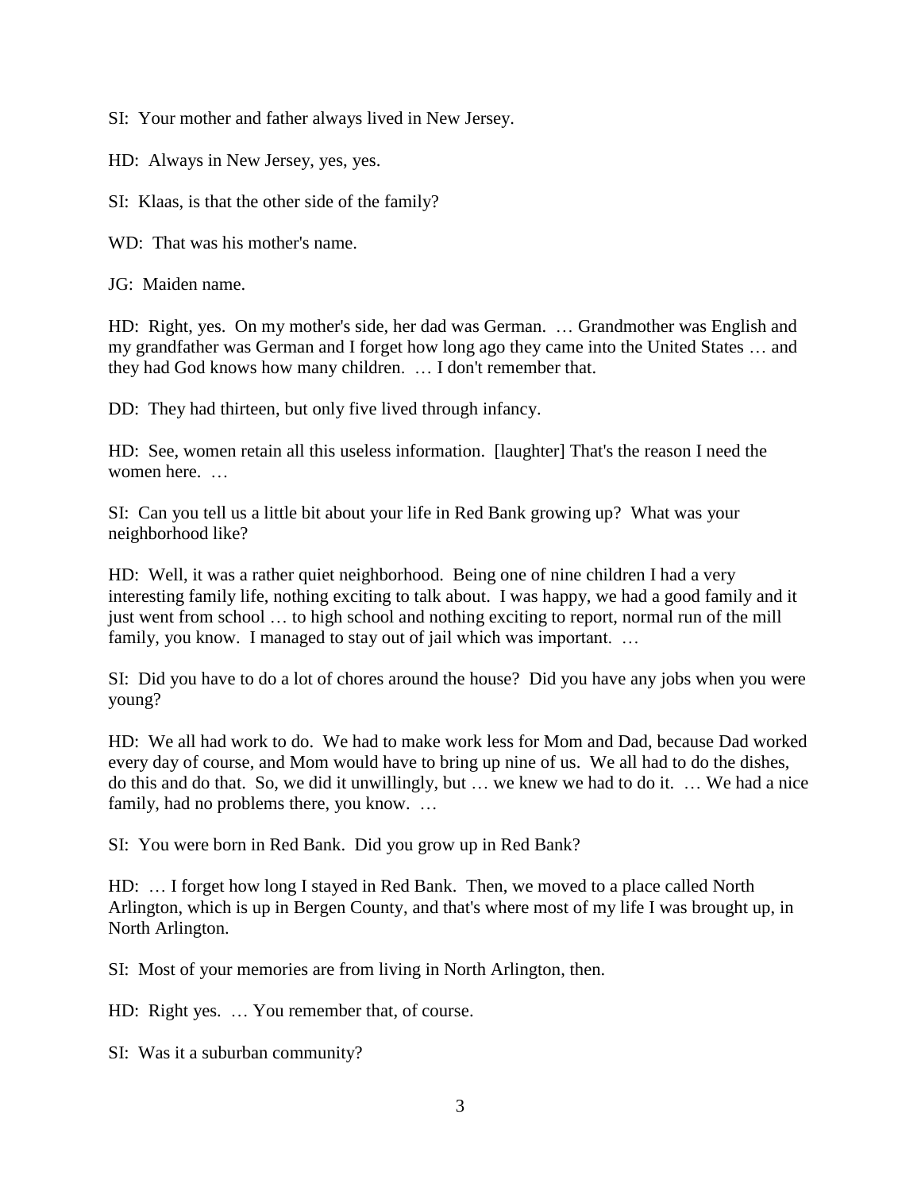SI: Your mother and father always lived in New Jersey.

HD: Always in New Jersey, yes, yes.

SI: Klaas, is that the other side of the family?

WD: That was his mother's name.

JG: Maiden name.

HD: Right, yes. On my mother's side, her dad was German. … Grandmother was English and my grandfather was German and I forget how long ago they came into the United States … and they had God knows how many children. … I don't remember that.

DD: They had thirteen, but only five lived through infancy.

HD: See, women retain all this useless information. [laughter] That's the reason I need the women here. …

SI: Can you tell us a little bit about your life in Red Bank growing up? What was your neighborhood like?

HD: Well, it was a rather quiet neighborhood. Being one of nine children I had a very interesting family life, nothing exciting to talk about. I was happy, we had a good family and it just went from school … to high school and nothing exciting to report, normal run of the mill family, you know. I managed to stay out of jail which was important. …

SI: Did you have to do a lot of chores around the house? Did you have any jobs when you were young?

HD: We all had work to do. We had to make work less for Mom and Dad, because Dad worked every day of course, and Mom would have to bring up nine of us. We all had to do the dishes, do this and do that. So, we did it unwillingly, but … we knew we had to do it. … We had a nice family, had no problems there, you know. ...

SI: You were born in Red Bank. Did you grow up in Red Bank?

HD: … I forget how long I stayed in Red Bank. Then, we moved to a place called North Arlington, which is up in Bergen County, and that's where most of my life I was brought up, in North Arlington.

SI: Most of your memories are from living in North Arlington, then.

HD: Right yes. … You remember that, of course.

SI: Was it a suburban community?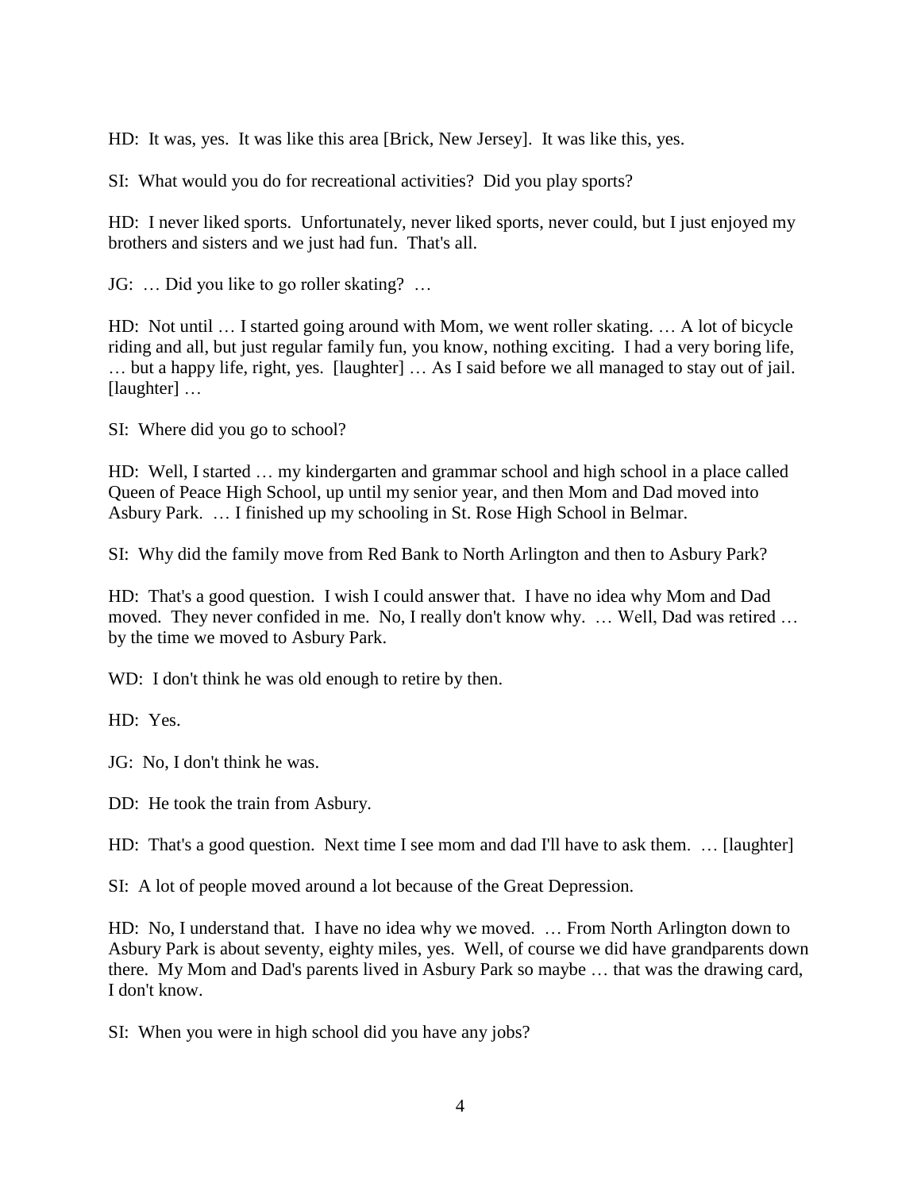HD: It was, yes. It was like this area [Brick, New Jersey]. It was like this, yes.

SI: What would you do for recreational activities? Did you play sports?

HD: I never liked sports. Unfortunately, never liked sports, never could, but I just enjoyed my brothers and sisters and we just had fun. That's all.

JG: … Did you like to go roller skating? …

HD: Not until … I started going around with Mom, we went roller skating. … A lot of bicycle riding and all, but just regular family fun, you know, nothing exciting. I had a very boring life, … but a happy life, right, yes. [laughter] … As I said before we all managed to stay out of jail. [laughter] ...

SI: Where did you go to school?

HD: Well, I started … my kindergarten and grammar school and high school in a place called Queen of Peace High School, up until my senior year, and then Mom and Dad moved into Asbury Park. … I finished up my schooling in St. Rose High School in Belmar.

SI: Why did the family move from Red Bank to North Arlington and then to Asbury Park?

HD: That's a good question. I wish I could answer that. I have no idea why Mom and Dad moved. They never confided in me. No, I really don't know why. … Well, Dad was retired … by the time we moved to Asbury Park.

WD: I don't think he was old enough to retire by then.

HD: Yes.

JG: No, I don't think he was.

DD: He took the train from Asbury.

HD: That's a good question. Next time I see mom and dad I'll have to ask them. … [laughter]

SI: A lot of people moved around a lot because of the Great Depression.

HD: No, I understand that. I have no idea why we moved. … From North Arlington down to Asbury Park is about seventy, eighty miles, yes. Well, of course we did have grandparents down there. My Mom and Dad's parents lived in Asbury Park so maybe … that was the drawing card, I don't know.

SI: When you were in high school did you have any jobs?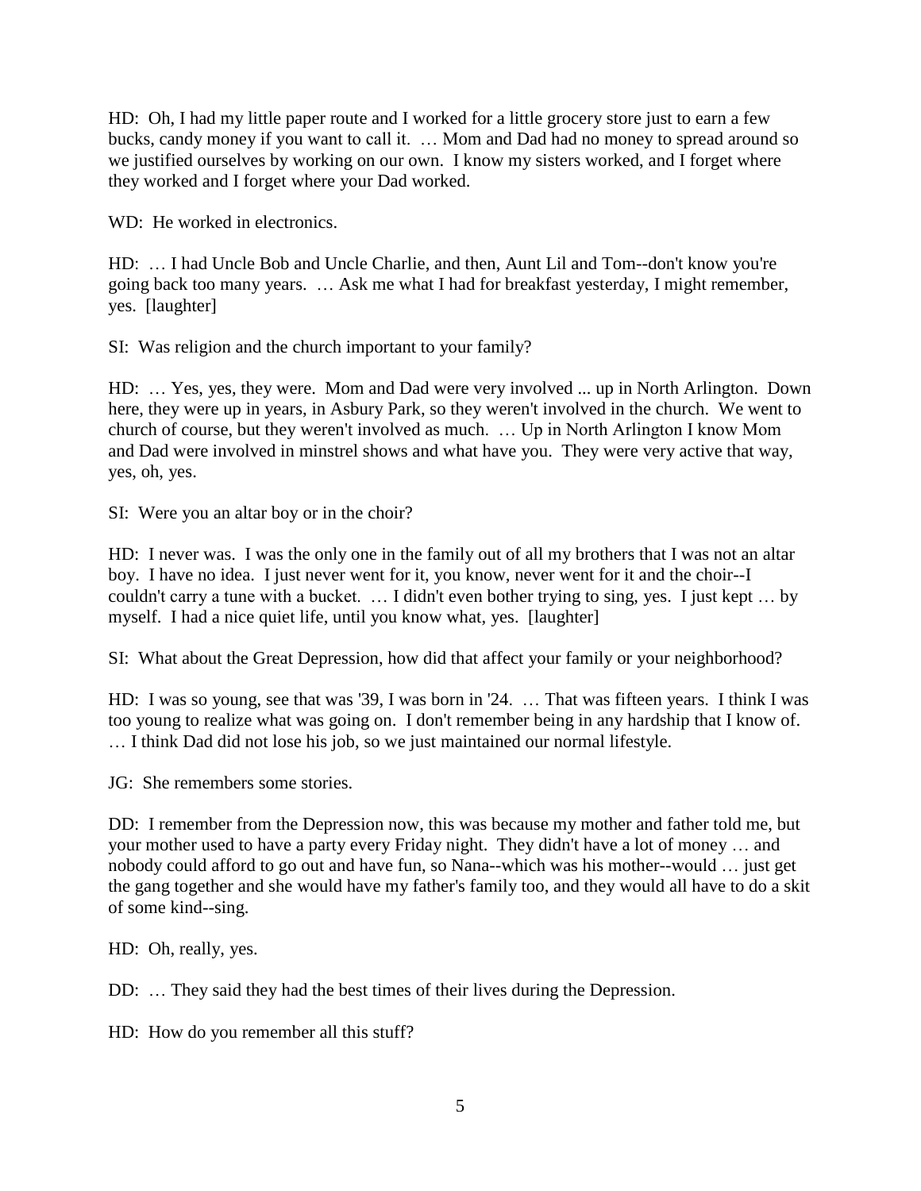HD: Oh, I had my little paper route and I worked for a little grocery store just to earn a few bucks, candy money if you want to call it. … Mom and Dad had no money to spread around so we justified ourselves by working on our own. I know my sisters worked, and I forget where they worked and I forget where your Dad worked.

WD: He worked in electronics.

HD: … I had Uncle Bob and Uncle Charlie, and then, Aunt Lil and Tom--don't know you're going back too many years. … Ask me what I had for breakfast yesterday, I might remember, yes. [laughter]

SI: Was religion and the church important to your family?

HD: … Yes, yes, they were. Mom and Dad were very involved ... up in North Arlington. Down here, they were up in years, in Asbury Park, so they weren't involved in the church. We went to church of course, but they weren't involved as much. … Up in North Arlington I know Mom and Dad were involved in minstrel shows and what have you. They were very active that way, yes, oh, yes.

SI: Were you an altar boy or in the choir?

HD: I never was. I was the only one in the family out of all my brothers that I was not an altar boy. I have no idea. I just never went for it, you know, never went for it and the choir--I couldn't carry a tune with a bucket. … I didn't even bother trying to sing, yes. I just kept … by myself. I had a nice quiet life, until you know what, yes. [laughter]

SI: What about the Great Depression, how did that affect your family or your neighborhood?

HD: I was so young, see that was '39, I was born in '24. … That was fifteen years. I think I was too young to realize what was going on. I don't remember being in any hardship that I know of. … I think Dad did not lose his job, so we just maintained our normal lifestyle.

JG: She remembers some stories.

DD: I remember from the Depression now, this was because my mother and father told me, but your mother used to have a party every Friday night. They didn't have a lot of money … and nobody could afford to go out and have fun, so Nana--which was his mother--would … just get the gang together and she would have my father's family too, and they would all have to do a skit of some kind--sing.

HD: Oh, really, yes.

DD: … They said they had the best times of their lives during the Depression.

HD: How do you remember all this stuff?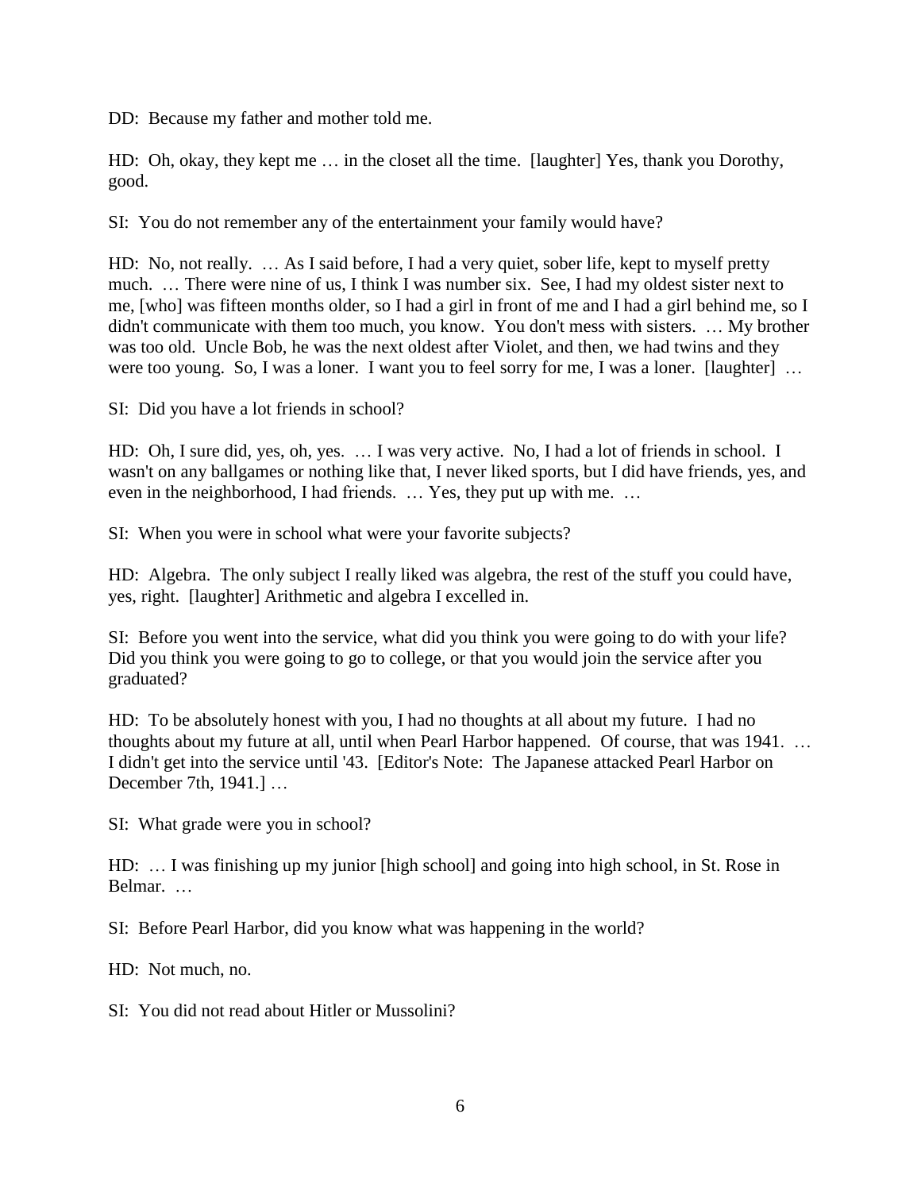DD: Because my father and mother told me.

HD: Oh, okay, they kept me … in the closet all the time. [laughter] Yes, thank you Dorothy, good.

SI: You do not remember any of the entertainment your family would have?

HD: No, not really. … As I said before, I had a very quiet, sober life, kept to myself pretty much. … There were nine of us, I think I was number six. See, I had my oldest sister next to me, [who] was fifteen months older, so I had a girl in front of me and I had a girl behind me, so I didn't communicate with them too much, you know. You don't mess with sisters. … My brother was too old. Uncle Bob, he was the next oldest after Violet, and then, we had twins and they were too young. So, I was a loner. I want you to feel sorry for me, I was a loner. [laughter] ...

SI: Did you have a lot friends in school?

HD: Oh, I sure did, yes, oh, yes. … I was very active. No, I had a lot of friends in school. I wasn't on any ballgames or nothing like that, I never liked sports, but I did have friends, yes, and even in the neighborhood, I had friends. … Yes, they put up with me. …

SI: When you were in school what were your favorite subjects?

HD: Algebra. The only subject I really liked was algebra, the rest of the stuff you could have, yes, right. [laughter] Arithmetic and algebra I excelled in.

SI: Before you went into the service, what did you think you were going to do with your life? Did you think you were going to go to college, or that you would join the service after you graduated?

HD: To be absolutely honest with you, I had no thoughts at all about my future. I had no thoughts about my future at all, until when Pearl Harbor happened. Of course, that was 1941. … I didn't get into the service until '43. [Editor's Note: The Japanese attacked Pearl Harbor on December 7th, 1941.] …

SI: What grade were you in school?

HD: … I was finishing up my junior [high school] and going into high school, in St. Rose in Belmar. …

SI: Before Pearl Harbor, did you know what was happening in the world?

HD: Not much, no.

SI: You did not read about Hitler or Mussolini?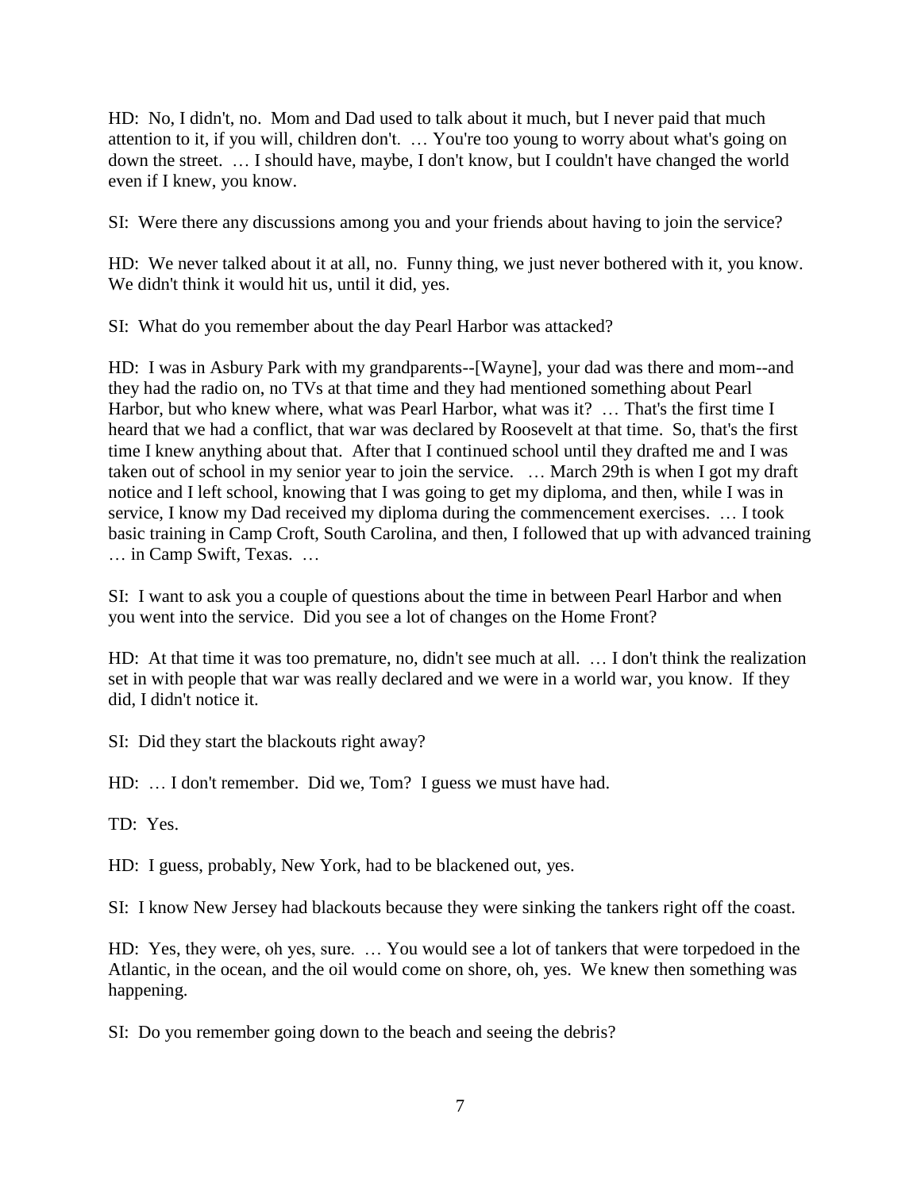HD: No, I didn't, no. Mom and Dad used to talk about it much, but I never paid that much attention to it, if you will, children don't. … You're too young to worry about what's going on down the street. … I should have, maybe, I don't know, but I couldn't have changed the world even if I knew, you know.

SI: Were there any discussions among you and your friends about having to join the service?

HD: We never talked about it at all, no. Funny thing, we just never bothered with it, you know. We didn't think it would hit us, until it did, yes.

SI: What do you remember about the day Pearl Harbor was attacked?

HD: I was in Asbury Park with my grandparents--[Wayne], your dad was there and mom--and they had the radio on, no TVs at that time and they had mentioned something about Pearl Harbor, but who knew where, what was Pearl Harbor, what was it? ... That's the first time I heard that we had a conflict, that war was declared by Roosevelt at that time. So, that's the first time I knew anything about that. After that I continued school until they drafted me and I was taken out of school in my senior year to join the service. … March 29th is when I got my draft notice and I left school, knowing that I was going to get my diploma, and then, while I was in service, I know my Dad received my diploma during the commencement exercises. … I took basic training in Camp Croft, South Carolina, and then, I followed that up with advanced training … in Camp Swift, Texas. …

SI: I want to ask you a couple of questions about the time in between Pearl Harbor and when you went into the service. Did you see a lot of changes on the Home Front?

HD: At that time it was too premature, no, didn't see much at all. … I don't think the realization set in with people that war was really declared and we were in a world war, you know. If they did, I didn't notice it.

SI: Did they start the blackouts right away?

HD: … I don't remember. Did we, Tom? I guess we must have had.

TD: Yes.

HD: I guess, probably, New York, had to be blackened out, yes.

SI: I know New Jersey had blackouts because they were sinking the tankers right off the coast.

HD: Yes, they were, oh yes, sure. … You would see a lot of tankers that were torpedoed in the Atlantic, in the ocean, and the oil would come on shore, oh, yes. We knew then something was happening.

SI: Do you remember going down to the beach and seeing the debris?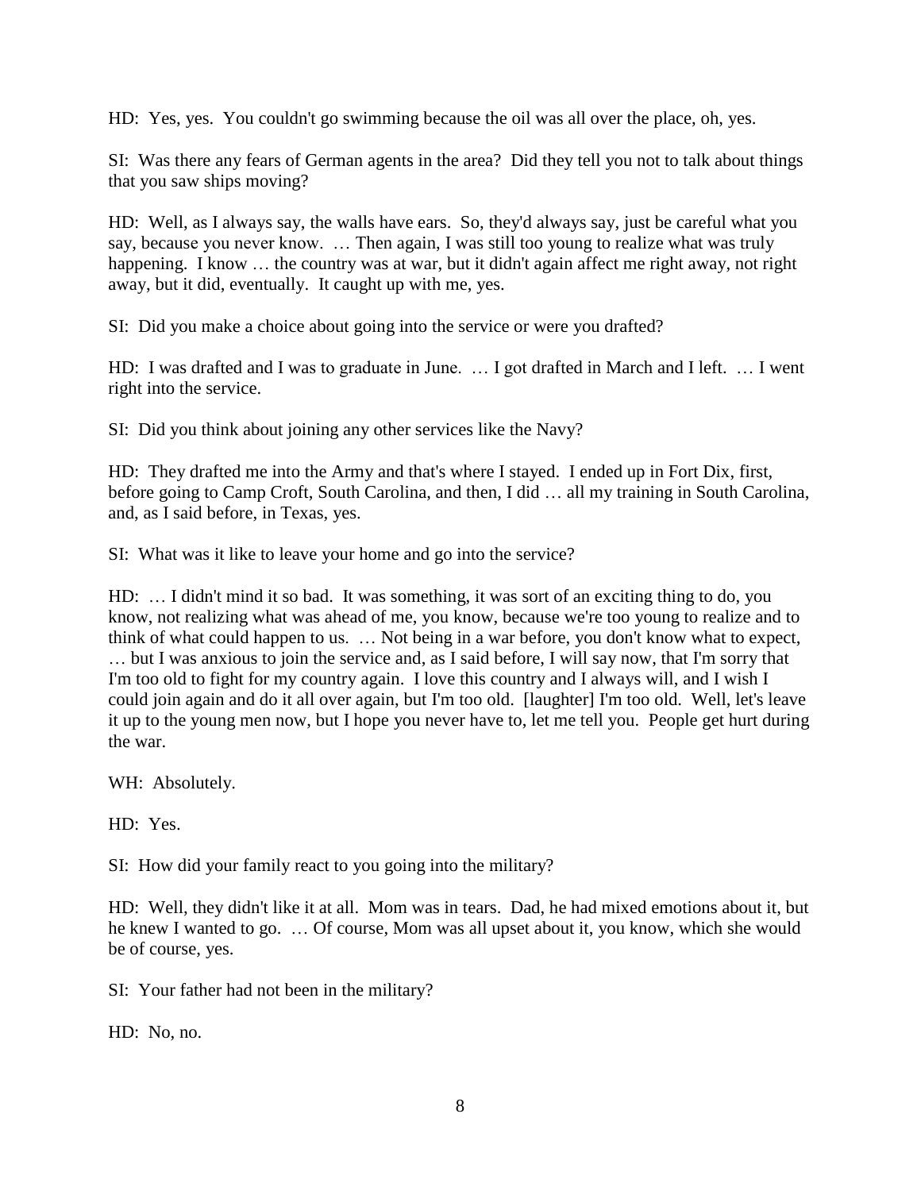HD: Yes, yes. You couldn't go swimming because the oil was all over the place, oh, yes.

SI: Was there any fears of German agents in the area? Did they tell you not to talk about things that you saw ships moving?

HD: Well, as I always say, the walls have ears. So, they'd always say, just be careful what you say, because you never know. … Then again, I was still too young to realize what was truly happening. I know ... the country was at war, but it didn't again affect me right away, not right away, but it did, eventually. It caught up with me, yes.

SI: Did you make a choice about going into the service or were you drafted?

HD: I was drafted and I was to graduate in June. … I got drafted in March and I left. … I went right into the service.

SI: Did you think about joining any other services like the Navy?

HD: They drafted me into the Army and that's where I stayed. I ended up in Fort Dix, first, before going to Camp Croft, South Carolina, and then, I did … all my training in South Carolina, and, as I said before, in Texas, yes.

SI: What was it like to leave your home and go into the service?

HD: … I didn't mind it so bad. It was something, it was sort of an exciting thing to do, you know, not realizing what was ahead of me, you know, because we're too young to realize and to think of what could happen to us. … Not being in a war before, you don't know what to expect, … but I was anxious to join the service and, as I said before, I will say now, that I'm sorry that I'm too old to fight for my country again. I love this country and I always will, and I wish I could join again and do it all over again, but I'm too old. [laughter] I'm too old. Well, let's leave it up to the young men now, but I hope you never have to, let me tell you. People get hurt during the war.

WH: Absolutely.

HD: Yes.

SI: How did your family react to you going into the military?

HD: Well, they didn't like it at all. Mom was in tears. Dad, he had mixed emotions about it, but he knew I wanted to go. … Of course, Mom was all upset about it, you know, which she would be of course, yes.

SI: Your father had not been in the military?

HD: No, no.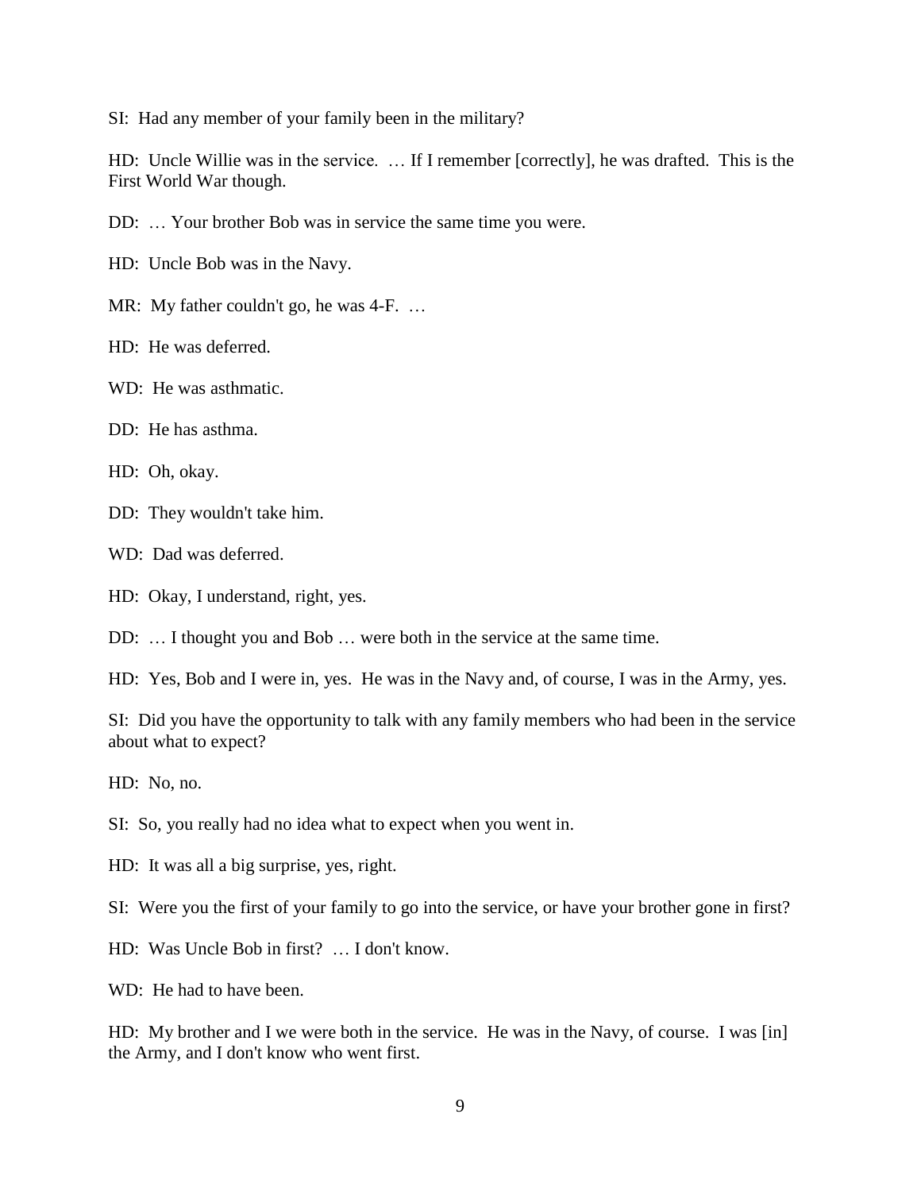SI: Had any member of your family been in the military?

HD: Uncle Willie was in the service. … If I remember [correctly], he was drafted. This is the First World War though.

- DD: … Your brother Bob was in service the same time you were.
- HD: Uncle Bob was in the Navy.
- MR: My father couldn't go, he was 4-F. ...
- HD: He was deferred.
- WD: He was asthmatic.
- DD: He has asthma.
- HD: Oh, okay.
- DD: They wouldn't take him.
- WD: Dad was deferred.
- HD: Okay, I understand, right, yes.
- DD: … I thought you and Bob … were both in the service at the same time.
- HD: Yes, Bob and I were in, yes. He was in the Navy and, of course, I was in the Army, yes.

SI: Did you have the opportunity to talk with any family members who had been in the service about what to expect?

HD: No, no.

- SI: So, you really had no idea what to expect when you went in.
- HD: It was all a big surprise, yes, right.
- SI: Were you the first of your family to go into the service, or have your brother gone in first?
- HD: Was Uncle Bob in first? … I don't know.
- WD: He had to have been.

HD: My brother and I we were both in the service. He was in the Navy, of course. I was [in] the Army, and I don't know who went first.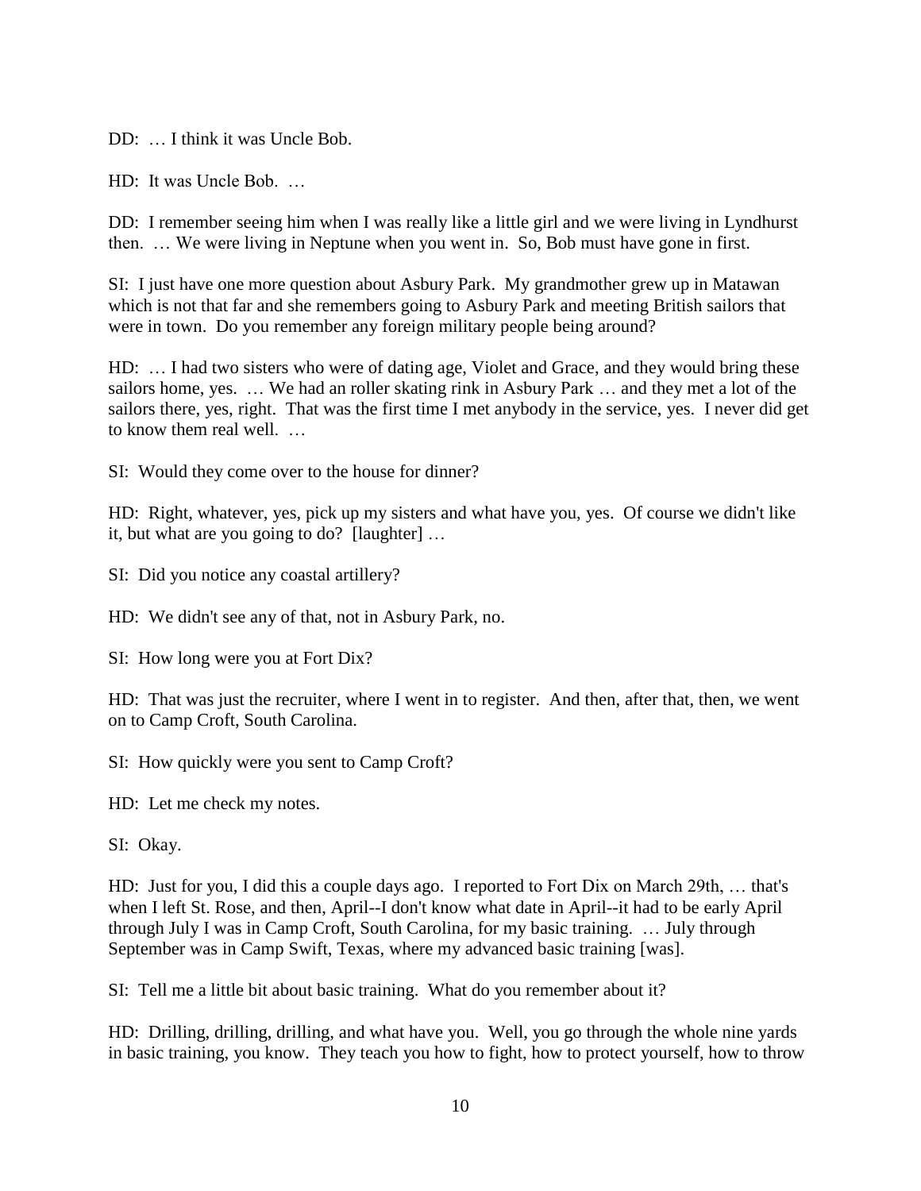DD: ... I think it was Uncle Bob.

HD: It was Uncle Bob. …

DD: I remember seeing him when I was really like a little girl and we were living in Lyndhurst then. … We were living in Neptune when you went in. So, Bob must have gone in first.

SI: I just have one more question about Asbury Park. My grandmother grew up in Matawan which is not that far and she remembers going to Asbury Park and meeting British sailors that were in town. Do you remember any foreign military people being around?

HD: … I had two sisters who were of dating age, Violet and Grace, and they would bring these sailors home, yes. … We had an roller skating rink in Asbury Park … and they met a lot of the sailors there, yes, right. That was the first time I met anybody in the service, yes. I never did get to know them real well. …

SI: Would they come over to the house for dinner?

HD: Right, whatever, yes, pick up my sisters and what have you, yes. Of course we didn't like it, but what are you going to do? [laughter] …

SI: Did you notice any coastal artillery?

HD: We didn't see any of that, not in Asbury Park, no.

SI: How long were you at Fort Dix?

HD: That was just the recruiter, where I went in to register. And then, after that, then, we went on to Camp Croft, South Carolina.

SI: How quickly were you sent to Camp Croft?

HD: Let me check my notes.

SI: Okay.

HD: Just for you, I did this a couple days ago. I reported to Fort Dix on March 29th, … that's when I left St. Rose, and then, April--I don't know what date in April--it had to be early April through July I was in Camp Croft, South Carolina, for my basic training. … July through September was in Camp Swift, Texas, where my advanced basic training [was].

SI: Tell me a little bit about basic training. What do you remember about it?

HD: Drilling, drilling, drilling, and what have you. Well, you go through the whole nine yards in basic training, you know. They teach you how to fight, how to protect yourself, how to throw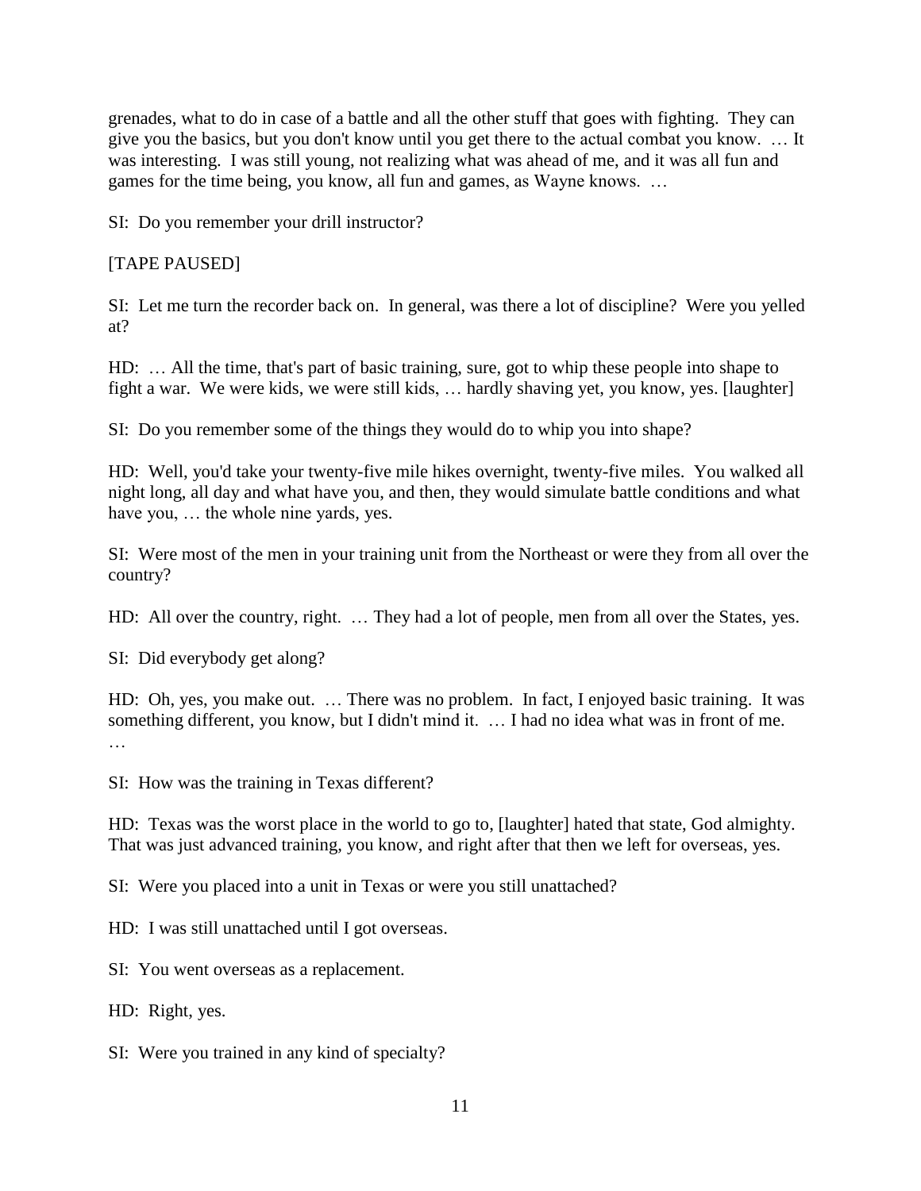grenades, what to do in case of a battle and all the other stuff that goes with fighting. They can give you the basics, but you don't know until you get there to the actual combat you know. … It was interesting. I was still young, not realizing what was ahead of me, and it was all fun and games for the time being, you know, all fun and games, as Wayne knows. …

SI: Do you remember your drill instructor?

# [TAPE PAUSED]

SI: Let me turn the recorder back on. In general, was there a lot of discipline? Were you yelled at?

HD: … All the time, that's part of basic training, sure, got to whip these people into shape to fight a war. We were kids, we were still kids, … hardly shaving yet, you know, yes. [laughter]

SI: Do you remember some of the things they would do to whip you into shape?

HD: Well, you'd take your twenty-five mile hikes overnight, twenty-five miles. You walked all night long, all day and what have you, and then, they would simulate battle conditions and what have you, … the whole nine yards, yes.

SI: Were most of the men in your training unit from the Northeast or were they from all over the country?

HD: All over the country, right. … They had a lot of people, men from all over the States, yes.

SI: Did everybody get along?

HD: Oh, yes, you make out. … There was no problem. In fact, I enjoyed basic training. It was something different, you know, but I didn't mind it. … I had no idea what was in front of me.

SI: How was the training in Texas different?

HD: Texas was the worst place in the world to go to, [laughter] hated that state, God almighty. That was just advanced training, you know, and right after that then we left for overseas, yes.

SI: Were you placed into a unit in Texas or were you still unattached?

HD: I was still unattached until I got overseas.

SI: You went overseas as a replacement.

HD: Right, yes.

SI: Were you trained in any kind of specialty?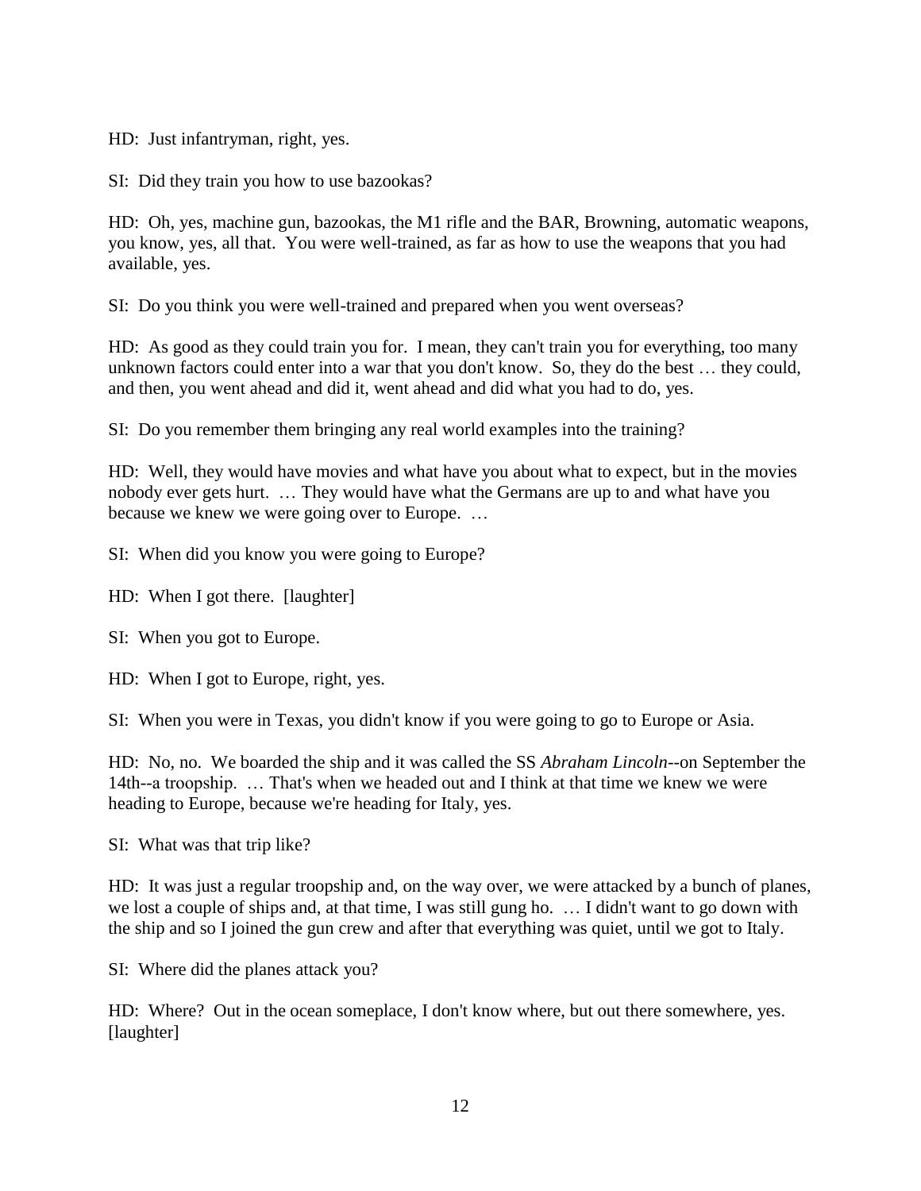HD: Just infantryman, right, yes.

SI: Did they train you how to use bazookas?

HD: Oh, yes, machine gun, bazookas, the M1 rifle and the BAR, Browning, automatic weapons, you know, yes, all that. You were well-trained, as far as how to use the weapons that you had available, yes.

SI: Do you think you were well-trained and prepared when you went overseas?

HD: As good as they could train you for. I mean, they can't train you for everything, too many unknown factors could enter into a war that you don't know. So, they do the best … they could, and then, you went ahead and did it, went ahead and did what you had to do, yes.

SI: Do you remember them bringing any real world examples into the training?

HD: Well, they would have movies and what have you about what to expect, but in the movies nobody ever gets hurt. … They would have what the Germans are up to and what have you because we knew we were going over to Europe. …

SI: When did you know you were going to Europe?

HD: When I got there. [laughter]

SI: When you got to Europe.

HD: When I got to Europe, right, yes.

SI: When you were in Texas, you didn't know if you were going to go to Europe or Asia.

HD: No, no. We boarded the ship and it was called the SS *Abraham Lincoln*--on September the 14th--a troopship. … That's when we headed out and I think at that time we knew we were heading to Europe, because we're heading for Italy, yes.

SI: What was that trip like?

HD: It was just a regular troopship and, on the way over, we were attacked by a bunch of planes, we lost a couple of ships and, at that time, I was still gung ho. … I didn't want to go down with the ship and so I joined the gun crew and after that everything was quiet, until we got to Italy.

SI: Where did the planes attack you?

HD: Where? Out in the ocean someplace, I don't know where, but out there somewhere, yes. [laughter]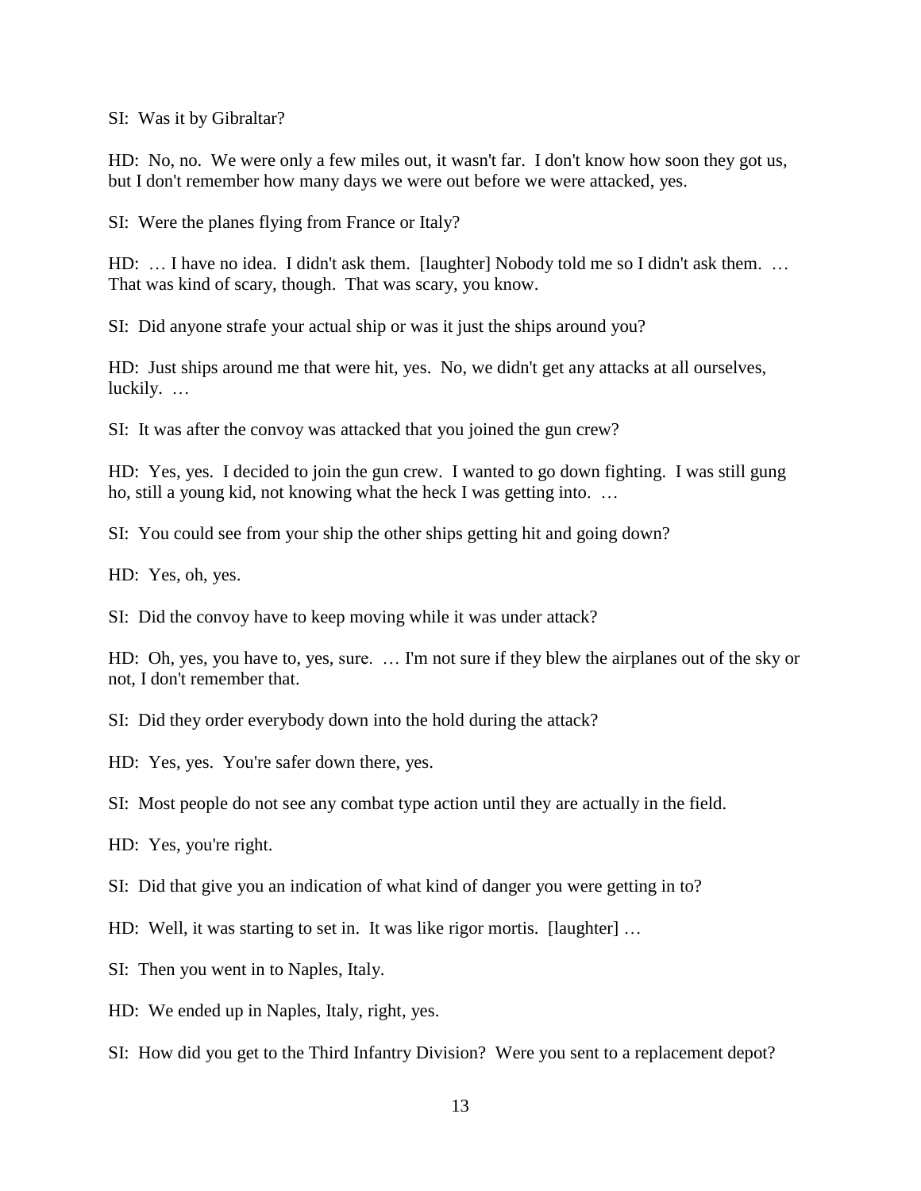SI: Was it by Gibraltar?

HD: No, no. We were only a few miles out, it wasn't far. I don't know how soon they got us, but I don't remember how many days we were out before we were attacked, yes.

SI: Were the planes flying from France or Italy?

HD: … I have no idea. I didn't ask them. [laughter] Nobody told me so I didn't ask them. … That was kind of scary, though. That was scary, you know.

SI: Did anyone strafe your actual ship or was it just the ships around you?

HD: Just ships around me that were hit, yes. No, we didn't get any attacks at all ourselves, luckily. …

SI: It was after the convoy was attacked that you joined the gun crew?

HD: Yes, yes. I decided to join the gun crew. I wanted to go down fighting. I was still gung ho, still a young kid, not knowing what the heck I was getting into. …

SI: You could see from your ship the other ships getting hit and going down?

HD: Yes, oh, yes.

SI: Did the convoy have to keep moving while it was under attack?

HD: Oh, yes, you have to, yes, sure. … I'm not sure if they blew the airplanes out of the sky or not, I don't remember that.

SI: Did they order everybody down into the hold during the attack?

HD: Yes, yes. You're safer down there, yes.

SI: Most people do not see any combat type action until they are actually in the field.

HD: Yes, you're right.

SI: Did that give you an indication of what kind of danger you were getting in to?

HD: Well, it was starting to set in. It was like rigor mortis. [laughter] …

SI: Then you went in to Naples, Italy.

HD: We ended up in Naples, Italy, right, yes.

SI: How did you get to the Third Infantry Division? Were you sent to a replacement depot?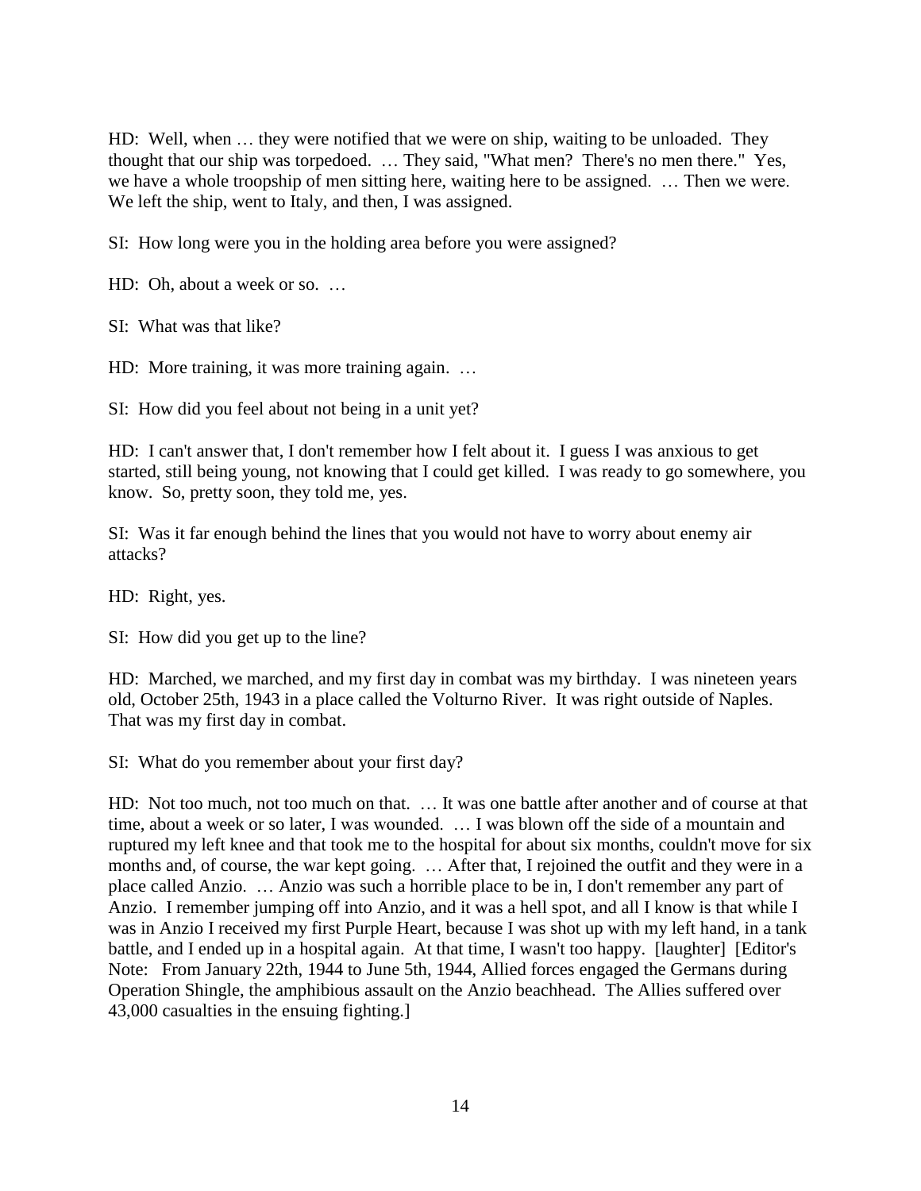HD: Well, when … they were notified that we were on ship, waiting to be unloaded. They thought that our ship was torpedoed. … They said, "What men? There's no men there." Yes, we have a whole troopship of men sitting here, waiting here to be assigned. … Then we were. We left the ship, went to Italy, and then, I was assigned.

SI: How long were you in the holding area before you were assigned?

HD: Oh, about a week or so. …

SI: What was that like?

HD: More training, it was more training again. ...

SI: How did you feel about not being in a unit yet?

HD: I can't answer that, I don't remember how I felt about it. I guess I was anxious to get started, still being young, not knowing that I could get killed. I was ready to go somewhere, you know. So, pretty soon, they told me, yes.

SI: Was it far enough behind the lines that you would not have to worry about enemy air attacks?

HD: Right, yes.

SI: How did you get up to the line?

HD: Marched, we marched, and my first day in combat was my birthday. I was nineteen years old, October 25th, 1943 in a place called the Volturno River. It was right outside of Naples. That was my first day in combat.

SI: What do you remember about your first day?

HD: Not too much, not too much on that. … It was one battle after another and of course at that time, about a week or so later, I was wounded. … I was blown off the side of a mountain and ruptured my left knee and that took me to the hospital for about six months, couldn't move for six months and, of course, the war kept going. … After that, I rejoined the outfit and they were in a place called Anzio. … Anzio was such a horrible place to be in, I don't remember any part of Anzio. I remember jumping off into Anzio, and it was a hell spot, and all I know is that while I was in Anzio I received my first Purple Heart, because I was shot up with my left hand, in a tank battle, and I ended up in a hospital again. At that time, I wasn't too happy. [laughter] [Editor's Note: From January 22th, 1944 to June 5th, 1944, Allied forces engaged the Germans during Operation Shingle, the amphibious assault on the Anzio beachhead. The Allies suffered over 43,000 casualties in the ensuing fighting.]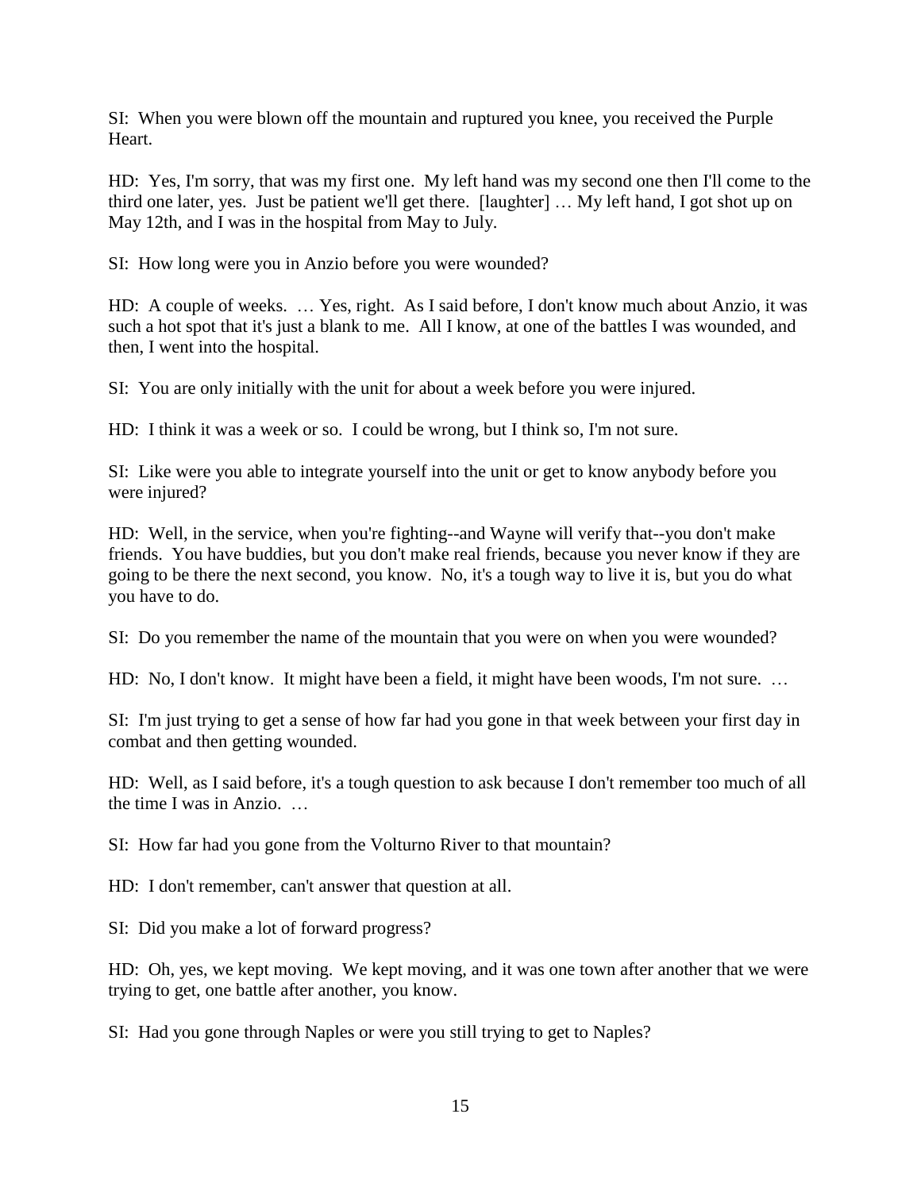SI: When you were blown off the mountain and ruptured you knee, you received the Purple Heart.

HD: Yes, I'm sorry, that was my first one. My left hand was my second one then I'll come to the third one later, yes. Just be patient we'll get there. [laughter] … My left hand, I got shot up on May 12th, and I was in the hospital from May to July.

SI: How long were you in Anzio before you were wounded?

HD: A couple of weeks. … Yes, right. As I said before, I don't know much about Anzio, it was such a hot spot that it's just a blank to me. All I know, at one of the battles I was wounded, and then, I went into the hospital.

SI: You are only initially with the unit for about a week before you were injured.

HD: I think it was a week or so. I could be wrong, but I think so, I'm not sure.

SI: Like were you able to integrate yourself into the unit or get to know anybody before you were injured?

HD: Well, in the service, when you're fighting--and Wayne will verify that--you don't make friends. You have buddies, but you don't make real friends, because you never know if they are going to be there the next second, you know. No, it's a tough way to live it is, but you do what you have to do.

SI: Do you remember the name of the mountain that you were on when you were wounded?

HD: No, I don't know. It might have been a field, it might have been woods, I'm not sure. …

SI: I'm just trying to get a sense of how far had you gone in that week between your first day in combat and then getting wounded.

HD: Well, as I said before, it's a tough question to ask because I don't remember too much of all the time I was in Anzio. …

SI: How far had you gone from the Volturno River to that mountain?

HD: I don't remember, can't answer that question at all.

SI: Did you make a lot of forward progress?

HD: Oh, yes, we kept moving. We kept moving, and it was one town after another that we were trying to get, one battle after another, you know.

SI: Had you gone through Naples or were you still trying to get to Naples?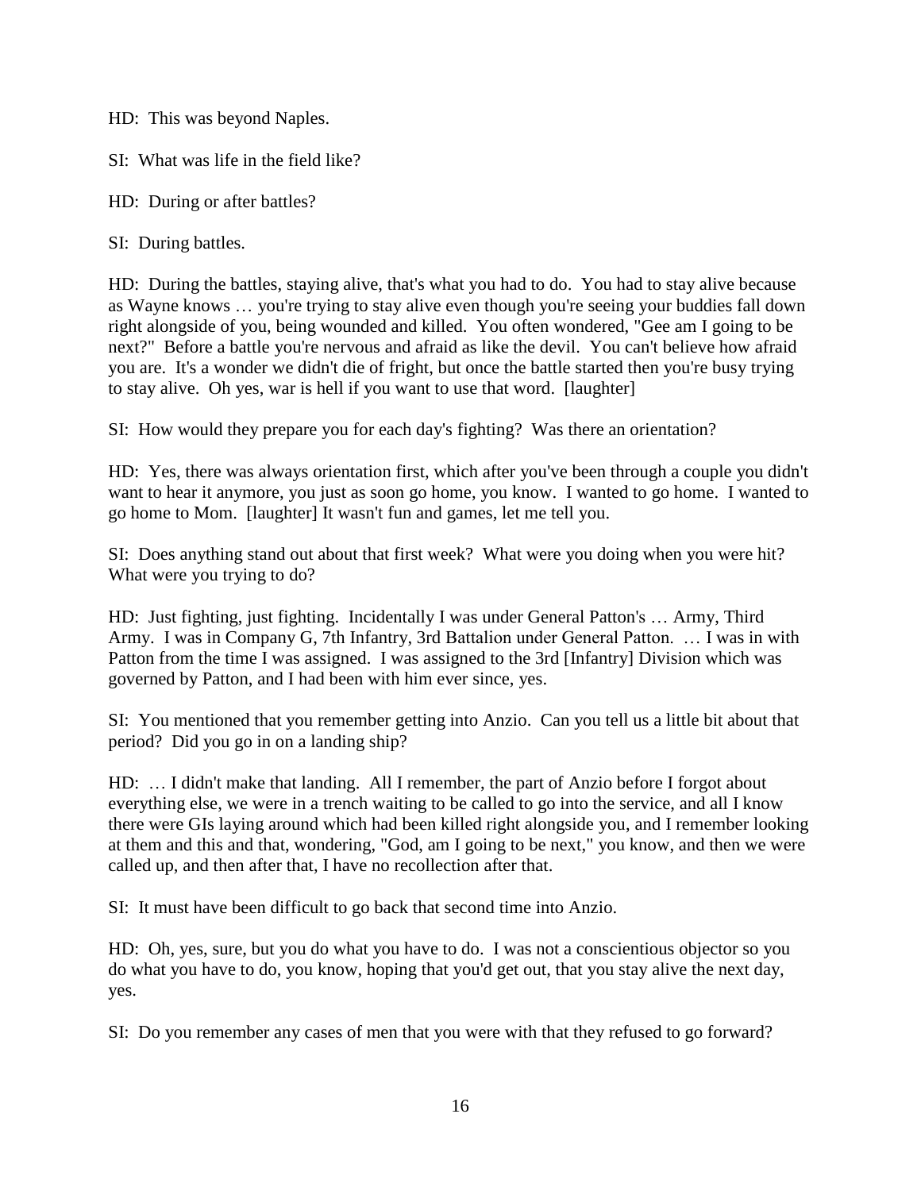HD: This was beyond Naples.

SI: What was life in the field like?

HD: During or after battles?

SI: During battles.

HD: During the battles, staying alive, that's what you had to do. You had to stay alive because as Wayne knows … you're trying to stay alive even though you're seeing your buddies fall down right alongside of you, being wounded and killed. You often wondered, "Gee am I going to be next?" Before a battle you're nervous and afraid as like the devil. You can't believe how afraid you are. It's a wonder we didn't die of fright, but once the battle started then you're busy trying to stay alive. Oh yes, war is hell if you want to use that word. [laughter]

SI: How would they prepare you for each day's fighting? Was there an orientation?

HD: Yes, there was always orientation first, which after you've been through a couple you didn't want to hear it anymore, you just as soon go home, you know. I wanted to go home. I wanted to go home to Mom. [laughter] It wasn't fun and games, let me tell you.

SI: Does anything stand out about that first week? What were you doing when you were hit? What were you trying to do?

HD: Just fighting, just fighting. Incidentally I was under General Patton's … Army, Third Army. I was in Company G, 7th Infantry, 3rd Battalion under General Patton. … I was in with Patton from the time I was assigned. I was assigned to the 3rd [Infantry] Division which was governed by Patton, and I had been with him ever since, yes.

SI: You mentioned that you remember getting into Anzio. Can you tell us a little bit about that period? Did you go in on a landing ship?

HD: … I didn't make that landing. All I remember, the part of Anzio before I forgot about everything else, we were in a trench waiting to be called to go into the service, and all I know there were GIs laying around which had been killed right alongside you, and I remember looking at them and this and that, wondering, "God, am I going to be next," you know, and then we were called up, and then after that, I have no recollection after that.

SI: It must have been difficult to go back that second time into Anzio.

HD: Oh, yes, sure, but you do what you have to do. I was not a conscientious objector so you do what you have to do, you know, hoping that you'd get out, that you stay alive the next day, yes.

SI: Do you remember any cases of men that you were with that they refused to go forward?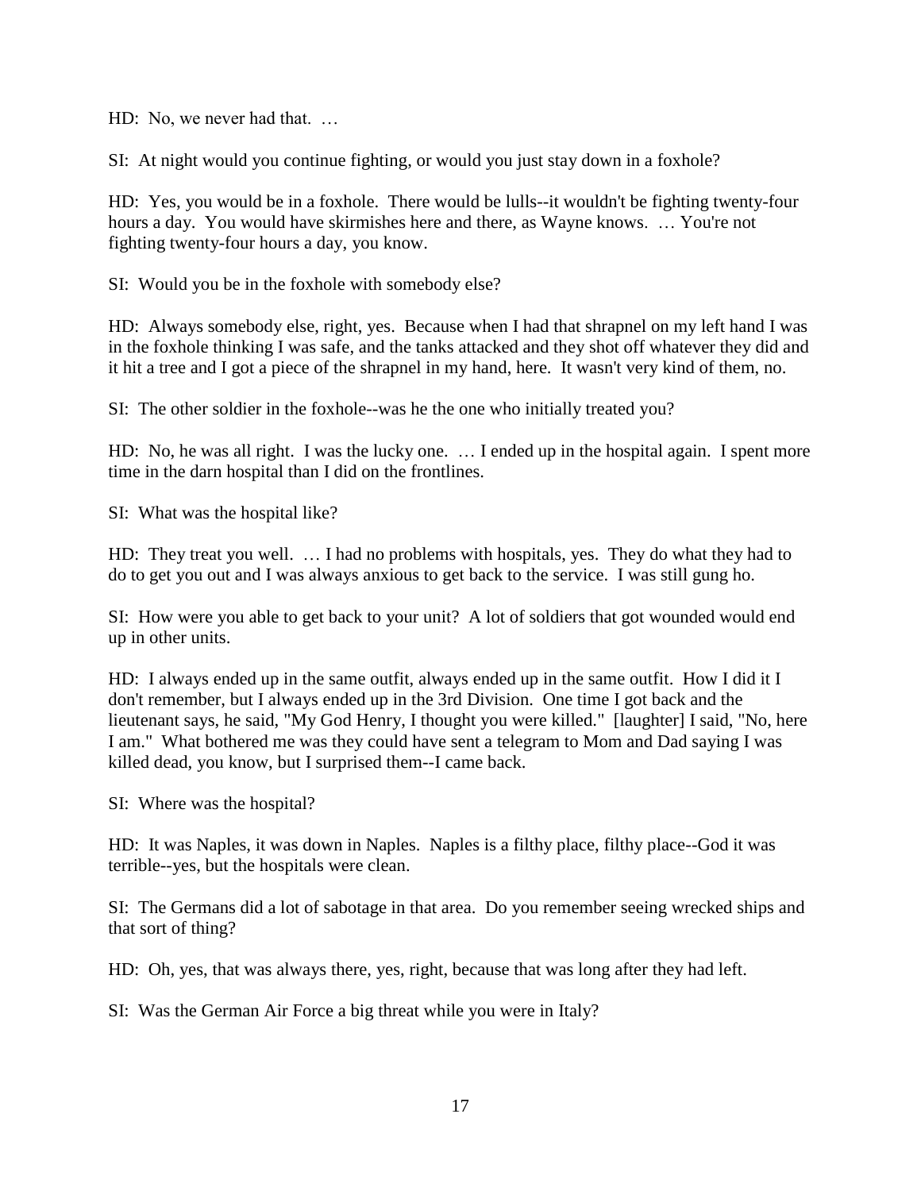HD: No, we never had that. …

SI: At night would you continue fighting, or would you just stay down in a foxhole?

HD: Yes, you would be in a foxhole. There would be lulls--it wouldn't be fighting twenty-four hours a day. You would have skirmishes here and there, as Wayne knows. ... You're not fighting twenty-four hours a day, you know.

SI: Would you be in the foxhole with somebody else?

HD: Always somebody else, right, yes. Because when I had that shrapnel on my left hand I was in the foxhole thinking I was safe, and the tanks attacked and they shot off whatever they did and it hit a tree and I got a piece of the shrapnel in my hand, here. It wasn't very kind of them, no.

SI: The other soldier in the foxhole--was he the one who initially treated you?

HD: No, he was all right. I was the lucky one. … I ended up in the hospital again. I spent more time in the darn hospital than I did on the frontlines.

SI: What was the hospital like?

HD: They treat you well. … I had no problems with hospitals, yes. They do what they had to do to get you out and I was always anxious to get back to the service. I was still gung ho.

SI: How were you able to get back to your unit? A lot of soldiers that got wounded would end up in other units.

HD: I always ended up in the same outfit, always ended up in the same outfit. How I did it I don't remember, but I always ended up in the 3rd Division. One time I got back and the lieutenant says, he said, "My God Henry, I thought you were killed." [laughter] I said, "No, here I am." What bothered me was they could have sent a telegram to Mom and Dad saying I was killed dead, you know, but I surprised them--I came back.

SI: Where was the hospital?

HD: It was Naples, it was down in Naples. Naples is a filthy place, filthy place--God it was terrible--yes, but the hospitals were clean.

SI: The Germans did a lot of sabotage in that area. Do you remember seeing wrecked ships and that sort of thing?

HD: Oh, yes, that was always there, yes, right, because that was long after they had left.

SI: Was the German Air Force a big threat while you were in Italy?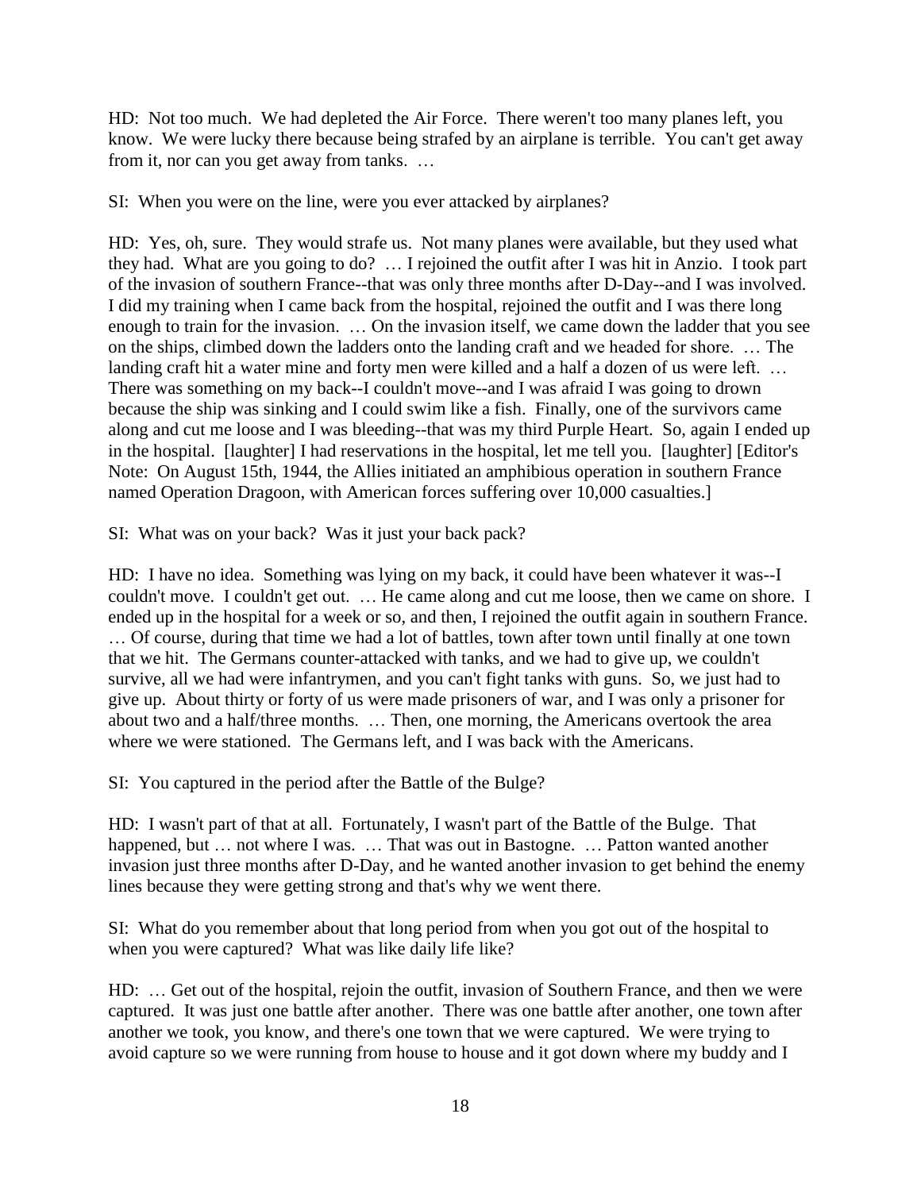HD: Not too much. We had depleted the Air Force. There weren't too many planes left, you know. We were lucky there because being strafed by an airplane is terrible. You can't get away from it, nor can you get away from tanks. …

SI: When you were on the line, were you ever attacked by airplanes?

HD: Yes, oh, sure. They would strafe us. Not many planes were available, but they used what they had. What are you going to do? … I rejoined the outfit after I was hit in Anzio. I took part of the invasion of southern France--that was only three months after D-Day--and I was involved. I did my training when I came back from the hospital, rejoined the outfit and I was there long enough to train for the invasion. … On the invasion itself, we came down the ladder that you see on the ships, climbed down the ladders onto the landing craft and we headed for shore. … The landing craft hit a water mine and forty men were killed and a half a dozen of us were left. … There was something on my back--I couldn't move--and I was afraid I was going to drown because the ship was sinking and I could swim like a fish. Finally, one of the survivors came along and cut me loose and I was bleeding--that was my third Purple Heart. So, again I ended up in the hospital. [laughter] I had reservations in the hospital, let me tell you. [laughter] [Editor's Note: On August 15th, 1944, the Allies initiated an amphibious operation in southern France named Operation Dragoon, with American forces suffering over 10,000 casualties.]

SI: What was on your back? Was it just your back pack?

HD: I have no idea. Something was lying on my back, it could have been whatever it was--I couldn't move. I couldn't get out. … He came along and cut me loose, then we came on shore. I ended up in the hospital for a week or so, and then, I rejoined the outfit again in southern France. … Of course, during that time we had a lot of battles, town after town until finally at one town that we hit. The Germans counter-attacked with tanks, and we had to give up, we couldn't survive, all we had were infantrymen, and you can't fight tanks with guns. So, we just had to give up. About thirty or forty of us were made prisoners of war, and I was only a prisoner for about two and a half/three months. … Then, one morning, the Americans overtook the area where we were stationed. The Germans left, and I was back with the Americans.

SI: You captured in the period after the Battle of the Bulge?

HD: I wasn't part of that at all. Fortunately, I wasn't part of the Battle of the Bulge. That happened, but ... not where I was. ... That was out in Bastogne. ... Patton wanted another invasion just three months after D-Day, and he wanted another invasion to get behind the enemy lines because they were getting strong and that's why we went there.

SI: What do you remember about that long period from when you got out of the hospital to when you were captured? What was like daily life like?

HD: … Get out of the hospital, rejoin the outfit, invasion of Southern France, and then we were captured. It was just one battle after another. There was one battle after another, one town after another we took, you know, and there's one town that we were captured. We were trying to avoid capture so we were running from house to house and it got down where my buddy and I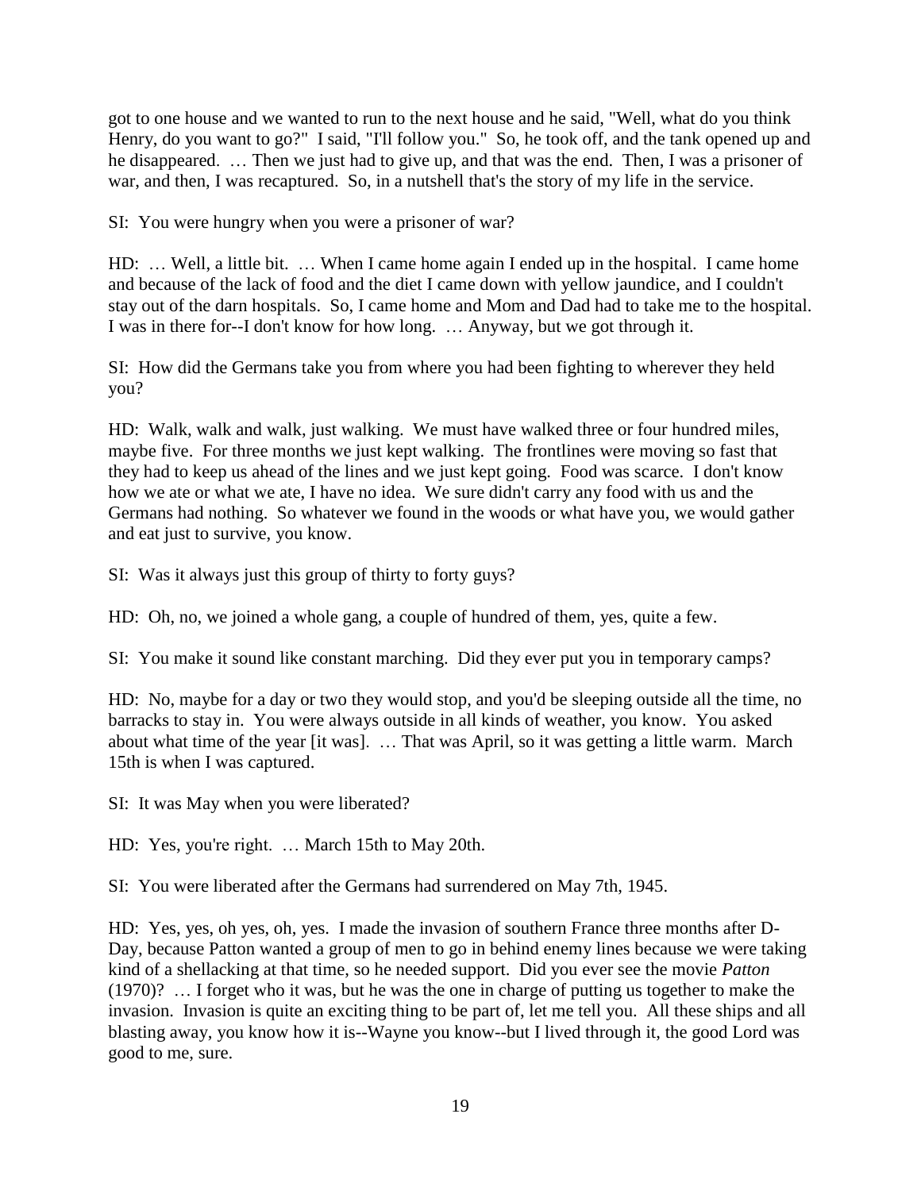got to one house and we wanted to run to the next house and he said, "Well, what do you think Henry, do you want to go?" I said, "I'll follow you." So, he took off, and the tank opened up and he disappeared. … Then we just had to give up, and that was the end. Then, I was a prisoner of war, and then, I was recaptured. So, in a nutshell that's the story of my life in the service.

SI: You were hungry when you were a prisoner of war?

HD: … Well, a little bit. … When I came home again I ended up in the hospital. I came home and because of the lack of food and the diet I came down with yellow jaundice, and I couldn't stay out of the darn hospitals. So, I came home and Mom and Dad had to take me to the hospital. I was in there for--I don't know for how long. … Anyway, but we got through it.

SI: How did the Germans take you from where you had been fighting to wherever they held you?

HD: Walk, walk and walk, just walking. We must have walked three or four hundred miles, maybe five. For three months we just kept walking. The frontlines were moving so fast that they had to keep us ahead of the lines and we just kept going. Food was scarce. I don't know how we ate or what we ate, I have no idea. We sure didn't carry any food with us and the Germans had nothing. So whatever we found in the woods or what have you, we would gather and eat just to survive, you know.

SI: Was it always just this group of thirty to forty guys?

HD: Oh, no, we joined a whole gang, a couple of hundred of them, yes, quite a few.

SI: You make it sound like constant marching. Did they ever put you in temporary camps?

HD: No, maybe for a day or two they would stop, and you'd be sleeping outside all the time, no barracks to stay in. You were always outside in all kinds of weather, you know. You asked about what time of the year [it was]. … That was April, so it was getting a little warm. March 15th is when I was captured.

SI: It was May when you were liberated?

HD: Yes, you're right. … March 15th to May 20th.

SI: You were liberated after the Germans had surrendered on May 7th, 1945.

HD: Yes, yes, oh yes, oh, yes. I made the invasion of southern France three months after D-Day, because Patton wanted a group of men to go in behind enemy lines because we were taking kind of a shellacking at that time, so he needed support. Did you ever see the movie *Patton* (1970)? … I forget who it was, but he was the one in charge of putting us together to make the invasion. Invasion is quite an exciting thing to be part of, let me tell you. All these ships and all blasting away, you know how it is--Wayne you know--but I lived through it, the good Lord was good to me, sure.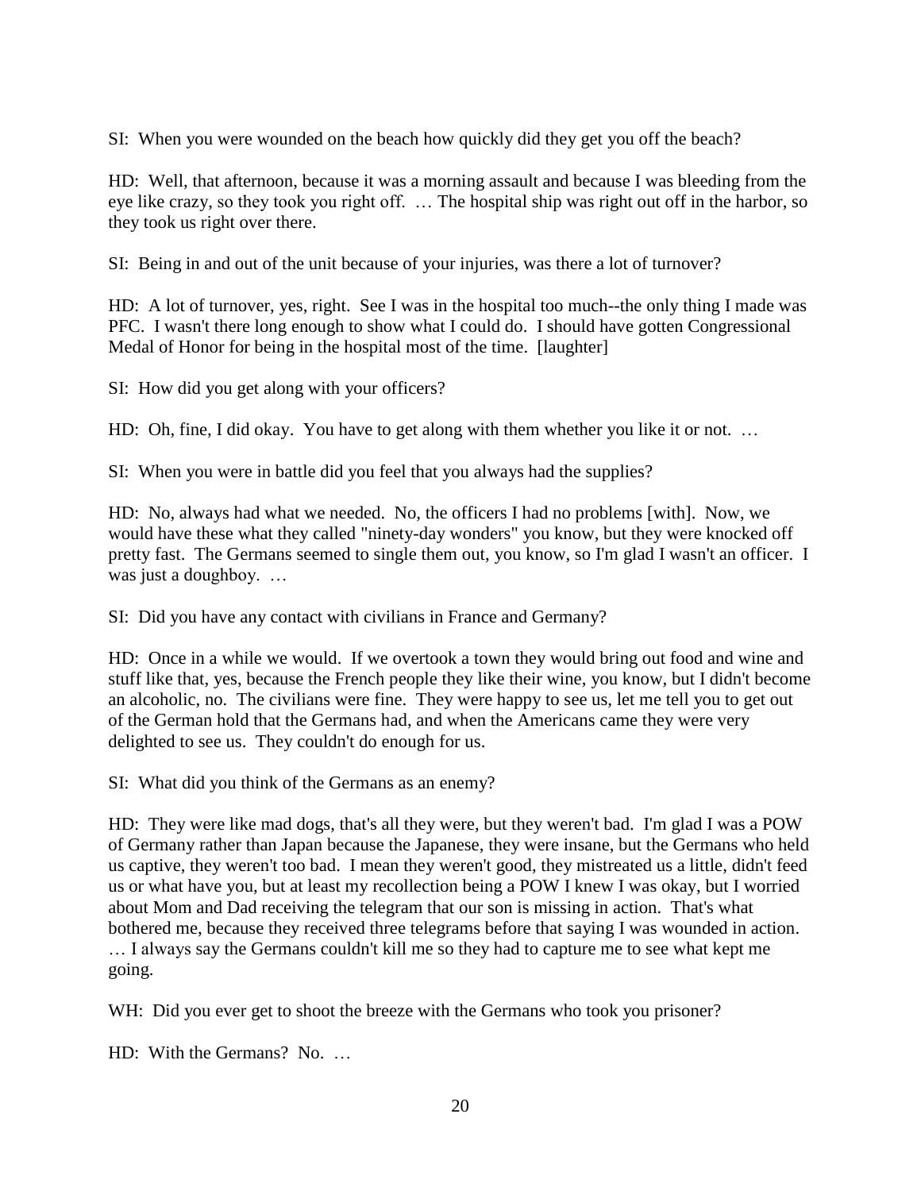SI: When you were wounded on the beach how quickly did they get you off the beach?

HD: Well, that afternoon, because it was a morning assault and because I was bleeding from the eye like crazy, so they took you right off. … The hospital ship was right out off in the harbor, so they took us right over there.

SI: Being in and out of the unit because of your injuries, was there a lot of turnover?

HD: A lot of turnover, yes, right. See I was in the hospital too much--the only thing I made was PFC. I wasn't there long enough to show what I could do. I should have gotten Congressional Medal of Honor for being in the hospital most of the time. [laughter]

SI: How did you get along with your officers?

HD: Oh, fine, I did okay. You have to get along with them whether you like it or not. ...

SI: When you were in battle did you feel that you always had the supplies?

HD: No, always had what we needed. No, the officers I had no problems [with]. Now, we would have these what they called "ninety-day wonders" you know, but they were knocked off pretty fast. The Germans seemed to single them out, you know, so I'm glad I wasn't an officer. I was just a doughboy. …

SI: Did you have any contact with civilians in France and Germany?

HD: Once in a while we would. If we overtook a town they would bring out food and wine and stuff like that, yes, because the French people they like their wine, you know, but I didn't become an alcoholic, no. The civilians were fine. They were happy to see us, let me tell you to get out of the German hold that the Germans had, and when the Americans came they were very delighted to see us. They couldn't do enough for us.

SI: What did you think of the Germans as an enemy?

HD: They were like mad dogs, that's all they were, but they weren't bad. I'm glad I was a POW of Germany rather than Japan because the Japanese, they were insane, but the Germans who held us captive, they weren't too bad. I mean they weren't good, they mistreated us a little, didn't feed us or what have you, but at least my recollection being a POW I knew I was okay, but I worried about Mom and Dad receiving the telegram that our son is missing in action. That's what bothered me, because they received three telegrams before that saying I was wounded in action. … I always say the Germans couldn't kill me so they had to capture me to see what kept me going.

WH: Did you ever get to shoot the breeze with the Germans who took you prisoner?

HD: With the Germans? No. …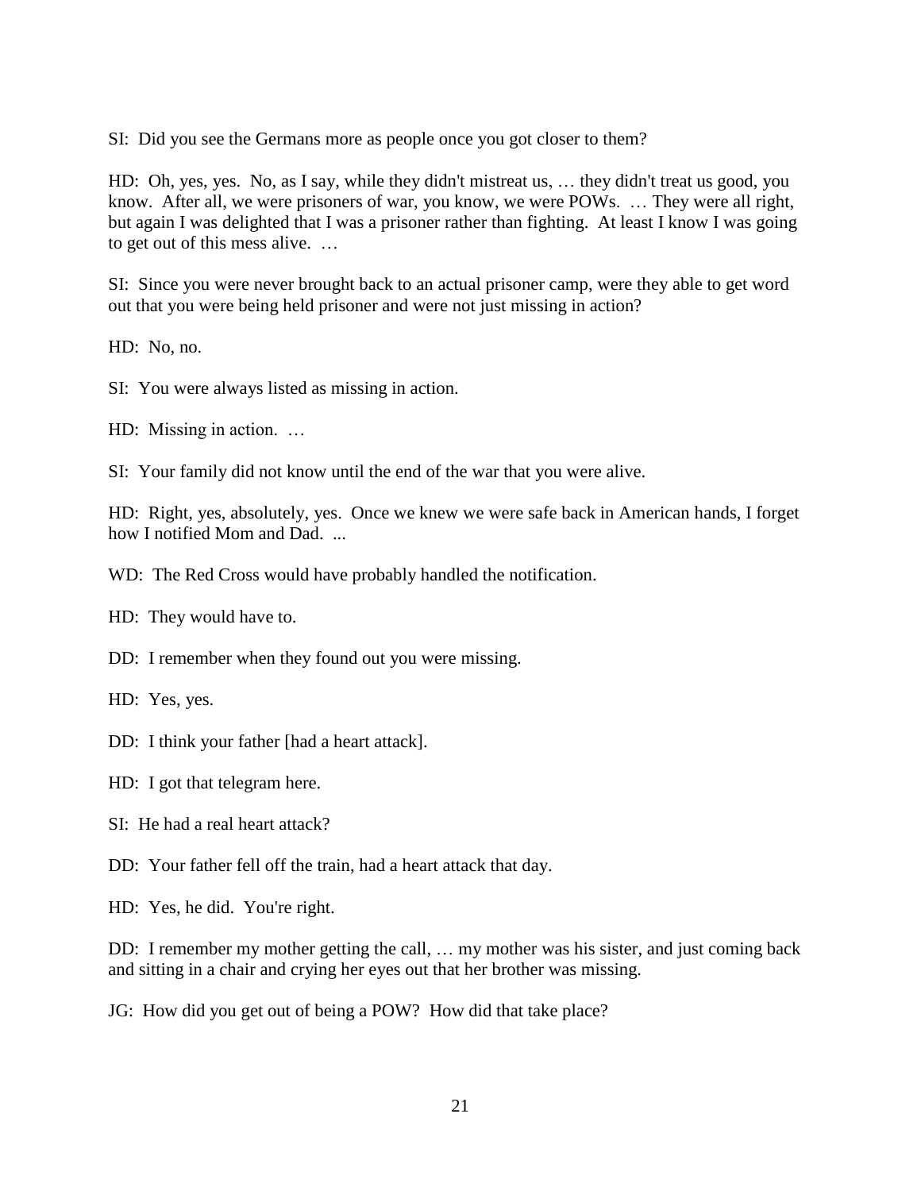SI: Did you see the Germans more as people once you got closer to them?

HD: Oh, yes, yes. No, as I say, while they didn't mistreat us, … they didn't treat us good, you know. After all, we were prisoners of war, you know, we were POWs. … They were all right, but again I was delighted that I was a prisoner rather than fighting. At least I know I was going to get out of this mess alive. …

SI: Since you were never brought back to an actual prisoner camp, were they able to get word out that you were being held prisoner and were not just missing in action?

HD: No, no.

SI: You were always listed as missing in action.

HD: Missing in action. …

SI: Your family did not know until the end of the war that you were alive.

HD: Right, yes, absolutely, yes. Once we knew we were safe back in American hands, I forget how I notified Mom and Dad. ...

WD: The Red Cross would have probably handled the notification.

HD: They would have to.

DD: I remember when they found out you were missing.

HD: Yes, yes.

DD: I think your father [had a heart attack].

HD: I got that telegram here.

SI: He had a real heart attack?

DD: Your father fell off the train, had a heart attack that day.

HD: Yes, he did. You're right.

DD: I remember my mother getting the call, … my mother was his sister, and just coming back and sitting in a chair and crying her eyes out that her brother was missing.

JG: How did you get out of being a POW? How did that take place?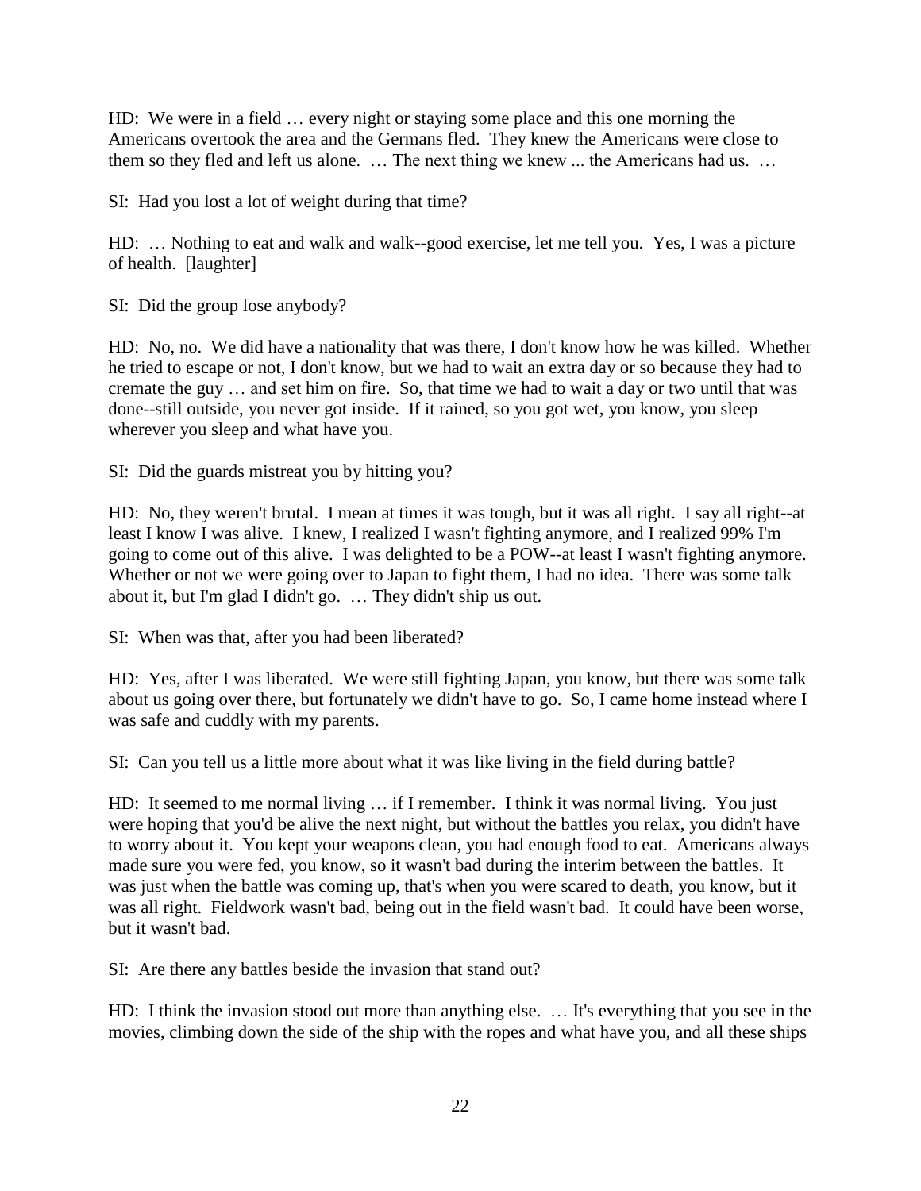HD: We were in a field … every night or staying some place and this one morning the Americans overtook the area and the Germans fled. They knew the Americans were close to them so they fled and left us alone. … The next thing we knew ... the Americans had us. …

SI: Had you lost a lot of weight during that time?

HD: … Nothing to eat and walk and walk--good exercise, let me tell you. Yes, I was a picture of health. [laughter]

SI: Did the group lose anybody?

HD: No, no. We did have a nationality that was there, I don't know how he was killed. Whether he tried to escape or not, I don't know, but we had to wait an extra day or so because they had to cremate the guy … and set him on fire. So, that time we had to wait a day or two until that was done--still outside, you never got inside. If it rained, so you got wet, you know, you sleep wherever you sleep and what have you.

SI: Did the guards mistreat you by hitting you?

HD: No, they weren't brutal. I mean at times it was tough, but it was all right. I say all right--at least I know I was alive. I knew, I realized I wasn't fighting anymore, and I realized 99% I'm going to come out of this alive. I was delighted to be a POW--at least I wasn't fighting anymore. Whether or not we were going over to Japan to fight them, I had no idea. There was some talk about it, but I'm glad I didn't go. … They didn't ship us out.

SI: When was that, after you had been liberated?

HD: Yes, after I was liberated. We were still fighting Japan, you know, but there was some talk about us going over there, but fortunately we didn't have to go. So, I came home instead where I was safe and cuddly with my parents.

SI: Can you tell us a little more about what it was like living in the field during battle?

HD: It seemed to me normal living … if I remember. I think it was normal living. You just were hoping that you'd be alive the next night, but without the battles you relax, you didn't have to worry about it. You kept your weapons clean, you had enough food to eat. Americans always made sure you were fed, you know, so it wasn't bad during the interim between the battles. It was just when the battle was coming up, that's when you were scared to death, you know, but it was all right. Fieldwork wasn't bad, being out in the field wasn't bad. It could have been worse, but it wasn't bad.

SI: Are there any battles beside the invasion that stand out?

HD: I think the invasion stood out more than anything else. … It's everything that you see in the movies, climbing down the side of the ship with the ropes and what have you, and all these ships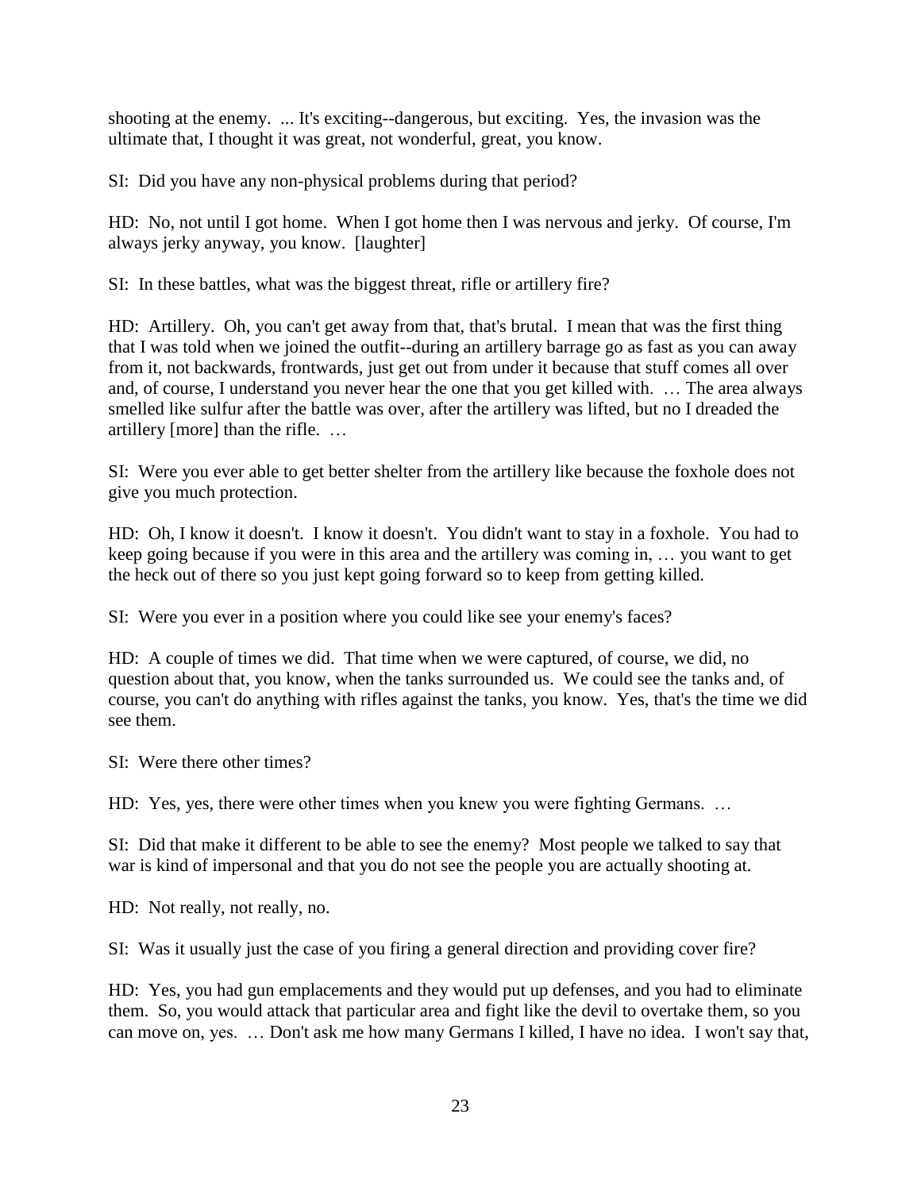shooting at the enemy. ... It's exciting--dangerous, but exciting. Yes, the invasion was the ultimate that, I thought it was great, not wonderful, great, you know.

SI: Did you have any non-physical problems during that period?

HD: No, not until I got home. When I got home then I was nervous and jerky. Of course, I'm always jerky anyway, you know. [laughter]

SI: In these battles, what was the biggest threat, rifle or artillery fire?

HD: Artillery. Oh, you can't get away from that, that's brutal. I mean that was the first thing that I was told when we joined the outfit--during an artillery barrage go as fast as you can away from it, not backwards, frontwards, just get out from under it because that stuff comes all over and, of course, I understand you never hear the one that you get killed with. … The area always smelled like sulfur after the battle was over, after the artillery was lifted, but no I dreaded the artillery [more] than the rifle. …

SI: Were you ever able to get better shelter from the artillery like because the foxhole does not give you much protection.

HD: Oh, I know it doesn't. I know it doesn't. You didn't want to stay in a foxhole. You had to keep going because if you were in this area and the artillery was coming in, … you want to get the heck out of there so you just kept going forward so to keep from getting killed.

SI: Were you ever in a position where you could like see your enemy's faces?

HD: A couple of times we did. That time when we were captured, of course, we did, no question about that, you know, when the tanks surrounded us. We could see the tanks and, of course, you can't do anything with rifles against the tanks, you know. Yes, that's the time we did see them.

SI: Were there other times?

HD: Yes, yes, there were other times when you knew you were fighting Germans. …

SI: Did that make it different to be able to see the enemy? Most people we talked to say that war is kind of impersonal and that you do not see the people you are actually shooting at.

HD: Not really, not really, no.

SI: Was it usually just the case of you firing a general direction and providing cover fire?

HD: Yes, you had gun emplacements and they would put up defenses, and you had to eliminate them. So, you would attack that particular area and fight like the devil to overtake them, so you can move on, yes. … Don't ask me how many Germans I killed, I have no idea. I won't say that,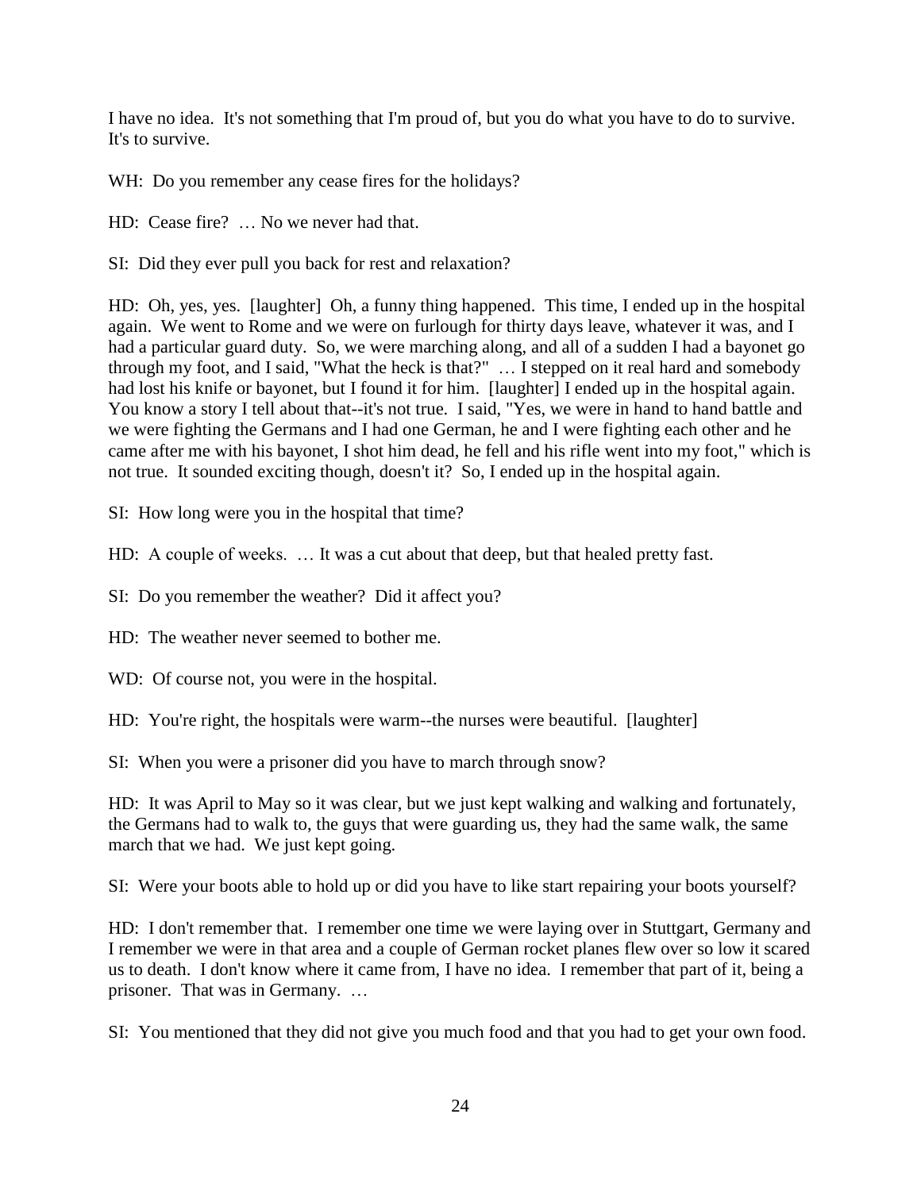I have no idea. It's not something that I'm proud of, but you do what you have to do to survive. It's to survive.

WH: Do you remember any cease fires for the holidays?

HD: Cease fire? … No we never had that.

SI: Did they ever pull you back for rest and relaxation?

HD: Oh, yes, yes. [laughter] Oh, a funny thing happened. This time, I ended up in the hospital again. We went to Rome and we were on furlough for thirty days leave, whatever it was, and I had a particular guard duty. So, we were marching along, and all of a sudden I had a bayonet go through my foot, and I said, "What the heck is that?" … I stepped on it real hard and somebody had lost his knife or bayonet, but I found it for him. [laughter] I ended up in the hospital again. You know a story I tell about that--it's not true. I said, "Yes, we were in hand to hand battle and we were fighting the Germans and I had one German, he and I were fighting each other and he came after me with his bayonet, I shot him dead, he fell and his rifle went into my foot," which is not true. It sounded exciting though, doesn't it? So, I ended up in the hospital again.

SI: How long were you in the hospital that time?

HD: A couple of weeks. … It was a cut about that deep, but that healed pretty fast.

SI: Do you remember the weather? Did it affect you?

HD: The weather never seemed to bother me.

WD: Of course not, you were in the hospital.

HD: You're right, the hospitals were warm--the nurses were beautiful. [laughter]

SI: When you were a prisoner did you have to march through snow?

HD: It was April to May so it was clear, but we just kept walking and walking and fortunately, the Germans had to walk to, the guys that were guarding us, they had the same walk, the same march that we had. We just kept going.

SI: Were your boots able to hold up or did you have to like start repairing your boots yourself?

HD: I don't remember that. I remember one time we were laying over in Stuttgart, Germany and I remember we were in that area and a couple of German rocket planes flew over so low it scared us to death. I don't know where it came from, I have no idea. I remember that part of it, being a prisoner. That was in Germany. …

SI: You mentioned that they did not give you much food and that you had to get your own food.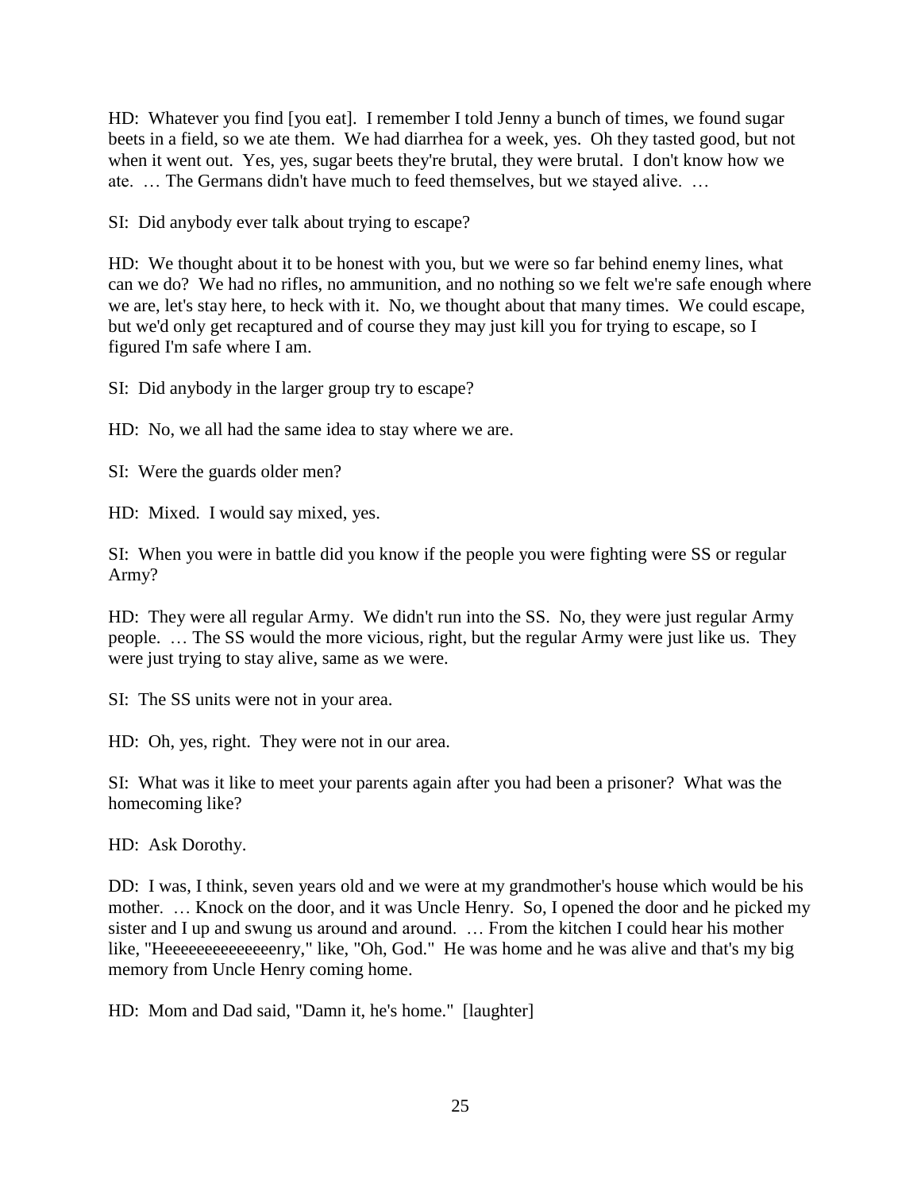HD: Whatever you find [you eat]. I remember I told Jenny a bunch of times, we found sugar beets in a field, so we ate them. We had diarrhea for a week, yes. Oh they tasted good, but not when it went out. Yes, yes, sugar beets they're brutal, they were brutal. I don't know how we ate. … The Germans didn't have much to feed themselves, but we stayed alive. …

SI: Did anybody ever talk about trying to escape?

HD: We thought about it to be honest with you, but we were so far behind enemy lines, what can we do? We had no rifles, no ammunition, and no nothing so we felt we're safe enough where we are, let's stay here, to heck with it. No, we thought about that many times. We could escape, but we'd only get recaptured and of course they may just kill you for trying to escape, so I figured I'm safe where I am.

SI: Did anybody in the larger group try to escape?

HD: No, we all had the same idea to stay where we are.

SI: Were the guards older men?

HD: Mixed. I would say mixed, yes.

SI: When you were in battle did you know if the people you were fighting were SS or regular Army?

HD: They were all regular Army. We didn't run into the SS. No, they were just regular Army people. … The SS would the more vicious, right, but the regular Army were just like us. They were just trying to stay alive, same as we were.

SI: The SS units were not in your area.

HD: Oh, yes, right. They were not in our area.

SI: What was it like to meet your parents again after you had been a prisoner? What was the homecoming like?

HD: Ask Dorothy.

DD: I was, I think, seven years old and we were at my grandmother's house which would be his mother. ... Knock on the door, and it was Uncle Henry. So, I opened the door and he picked my sister and I up and swung us around and around. … From the kitchen I could hear his mother like, "Heeeeeeeeeeeeeenry," like, "Oh, God." He was home and he was alive and that's my big memory from Uncle Henry coming home.

HD: Mom and Dad said, "Damn it, he's home." [laughter]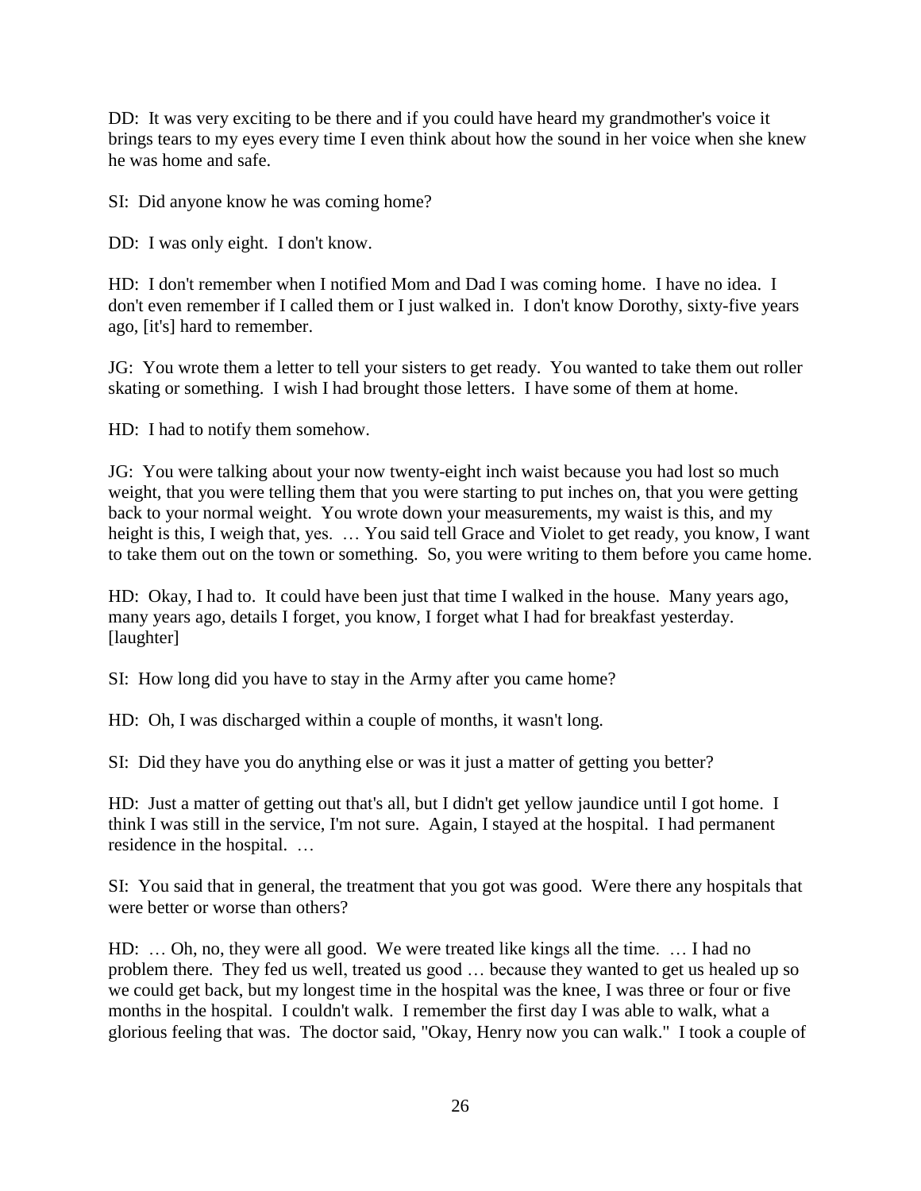DD: It was very exciting to be there and if you could have heard my grandmother's voice it brings tears to my eyes every time I even think about how the sound in her voice when she knew he was home and safe.

SI: Did anyone know he was coming home?

DD: I was only eight. I don't know.

HD: I don't remember when I notified Mom and Dad I was coming home. I have no idea. I don't even remember if I called them or I just walked in. I don't know Dorothy, sixty-five years ago, [it's] hard to remember.

JG: You wrote them a letter to tell your sisters to get ready. You wanted to take them out roller skating or something. I wish I had brought those letters. I have some of them at home.

HD: I had to notify them somehow.

JG: You were talking about your now twenty-eight inch waist because you had lost so much weight, that you were telling them that you were starting to put inches on, that you were getting back to your normal weight. You wrote down your measurements, my waist is this, and my height is this, I weigh that, yes. ... You said tell Grace and Violet to get ready, you know, I want to take them out on the town or something. So, you were writing to them before you came home.

HD: Okay, I had to. It could have been just that time I walked in the house. Many years ago, many years ago, details I forget, you know, I forget what I had for breakfast yesterday. [laughter]

SI: How long did you have to stay in the Army after you came home?

HD: Oh, I was discharged within a couple of months, it wasn't long.

SI: Did they have you do anything else or was it just a matter of getting you better?

HD: Just a matter of getting out that's all, but I didn't get yellow jaundice until I got home. I think I was still in the service, I'm not sure. Again, I stayed at the hospital. I had permanent residence in the hospital. …

SI: You said that in general, the treatment that you got was good. Were there any hospitals that were better or worse than others?

HD: … Oh, no, they were all good. We were treated like kings all the time. … I had no problem there. They fed us well, treated us good … because they wanted to get us healed up so we could get back, but my longest time in the hospital was the knee, I was three or four or five months in the hospital. I couldn't walk. I remember the first day I was able to walk, what a glorious feeling that was. The doctor said, "Okay, Henry now you can walk." I took a couple of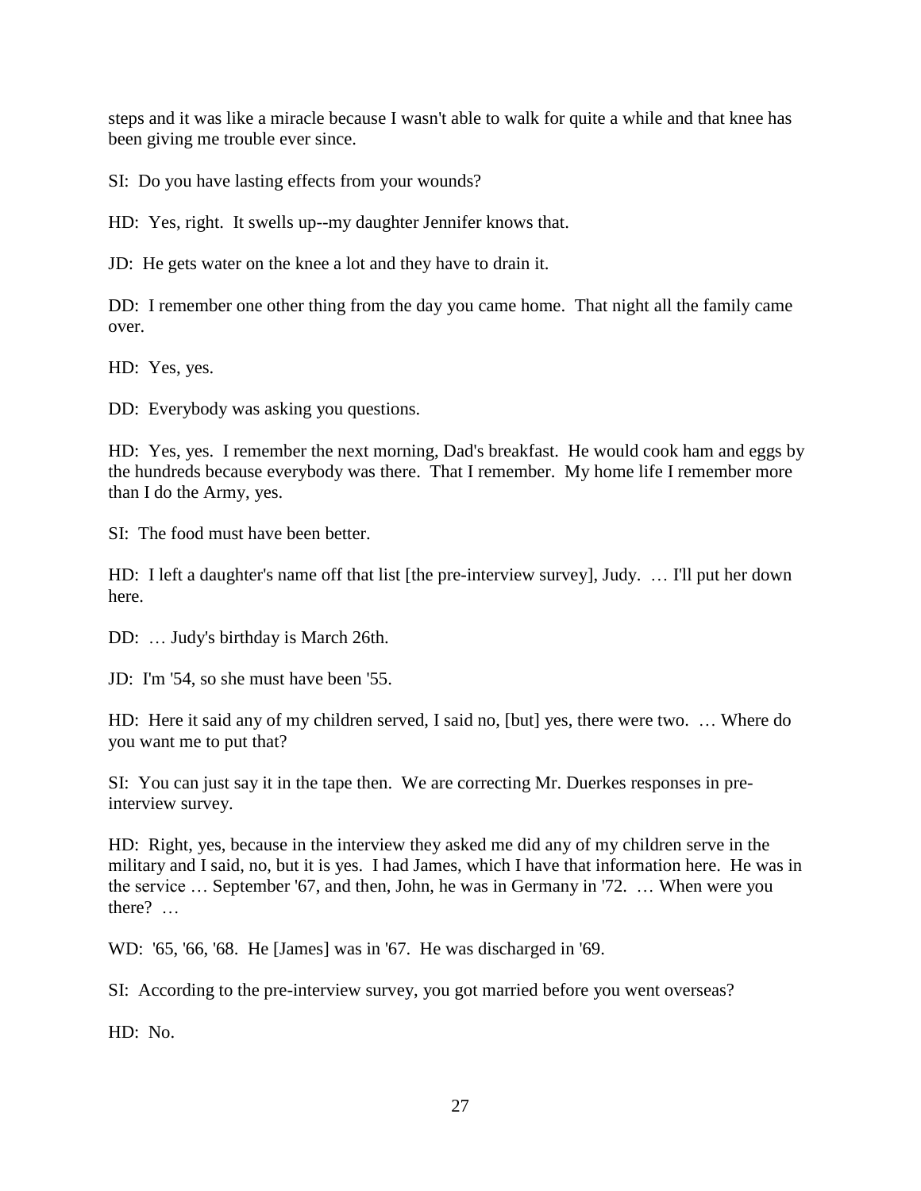steps and it was like a miracle because I wasn't able to walk for quite a while and that knee has been giving me trouble ever since.

SI: Do you have lasting effects from your wounds?

HD: Yes, right. It swells up--my daughter Jennifer knows that.

JD: He gets water on the knee a lot and they have to drain it.

DD: I remember one other thing from the day you came home. That night all the family came over.

HD: Yes, yes.

DD: Everybody was asking you questions.

HD: Yes, yes. I remember the next morning, Dad's breakfast. He would cook ham and eggs by the hundreds because everybody was there. That I remember. My home life I remember more than I do the Army, yes.

SI: The food must have been better.

HD: I left a daughter's name off that list [the pre-interview survey], Judy. … I'll put her down here.

DD: … Judy's birthday is March 26th.

JD: I'm '54, so she must have been '55.

HD: Here it said any of my children served, I said no, [but] yes, there were two. … Where do you want me to put that?

SI: You can just say it in the tape then. We are correcting Mr. Duerkes responses in preinterview survey.

HD: Right, yes, because in the interview they asked me did any of my children serve in the military and I said, no, but it is yes. I had James, which I have that information here. He was in the service … September '67, and then, John, he was in Germany in '72. … When were you there? …

WD: '65, '66, '68. He [James] was in '67. He was discharged in '69.

SI: According to the pre-interview survey, you got married before you went overseas?

HD: No.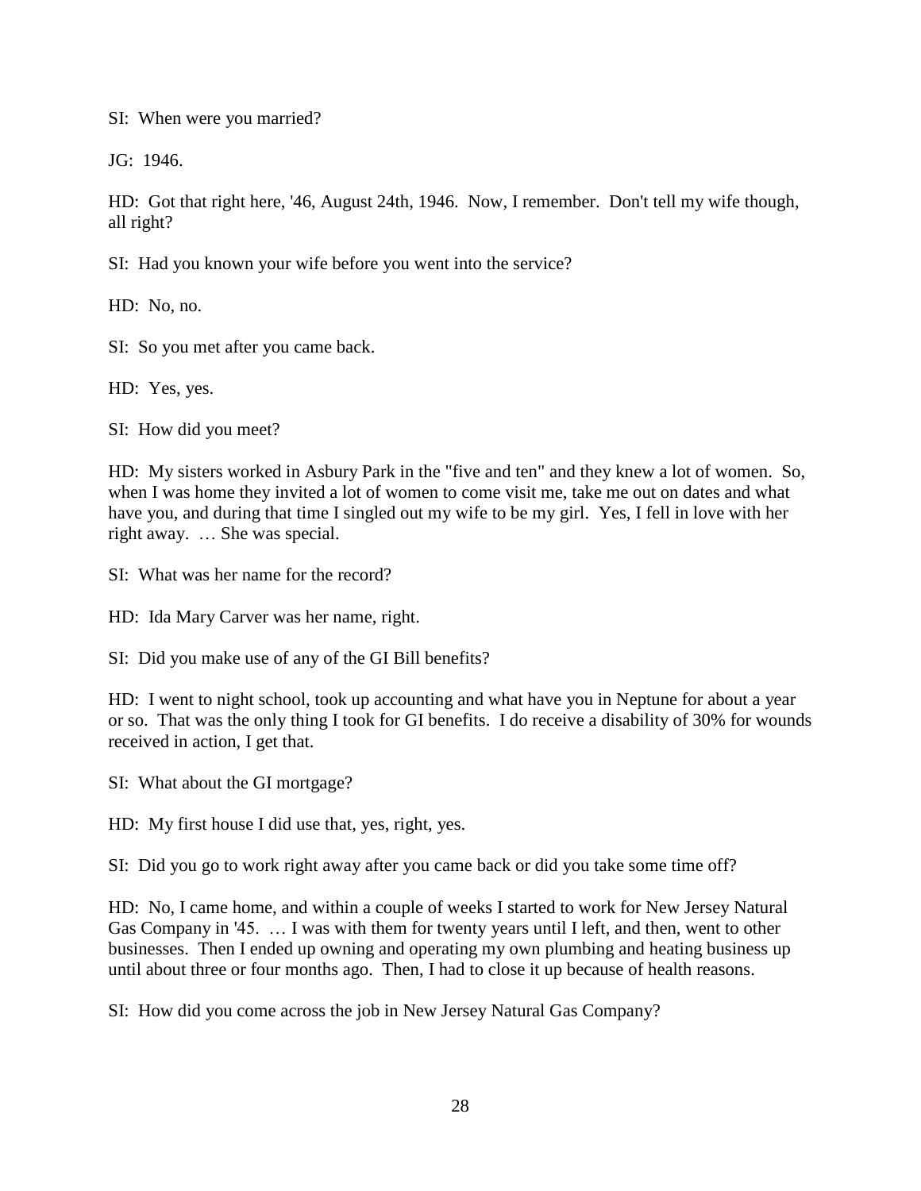SI: When were you married?

JG: 1946.

HD: Got that right here, '46, August 24th, 1946. Now, I remember. Don't tell my wife though, all right?

SI: Had you known your wife before you went into the service?

HD: No, no.

SI: So you met after you came back.

HD: Yes, yes.

SI: How did you meet?

HD: My sisters worked in Asbury Park in the "five and ten" and they knew a lot of women. So, when I was home they invited a lot of women to come visit me, take me out on dates and what have you, and during that time I singled out my wife to be my girl. Yes, I fell in love with her right away. … She was special.

SI: What was her name for the record?

HD: Ida Mary Carver was her name, right.

SI: Did you make use of any of the GI Bill benefits?

HD: I went to night school, took up accounting and what have you in Neptune for about a year or so. That was the only thing I took for GI benefits. I do receive a disability of 30% for wounds received in action, I get that.

SI: What about the GI mortgage?

HD: My first house I did use that, yes, right, yes.

SI: Did you go to work right away after you came back or did you take some time off?

HD: No, I came home, and within a couple of weeks I started to work for New Jersey Natural Gas Company in '45. … I was with them for twenty years until I left, and then, went to other businesses. Then I ended up owning and operating my own plumbing and heating business up until about three or four months ago. Then, I had to close it up because of health reasons.

SI: How did you come across the job in New Jersey Natural Gas Company?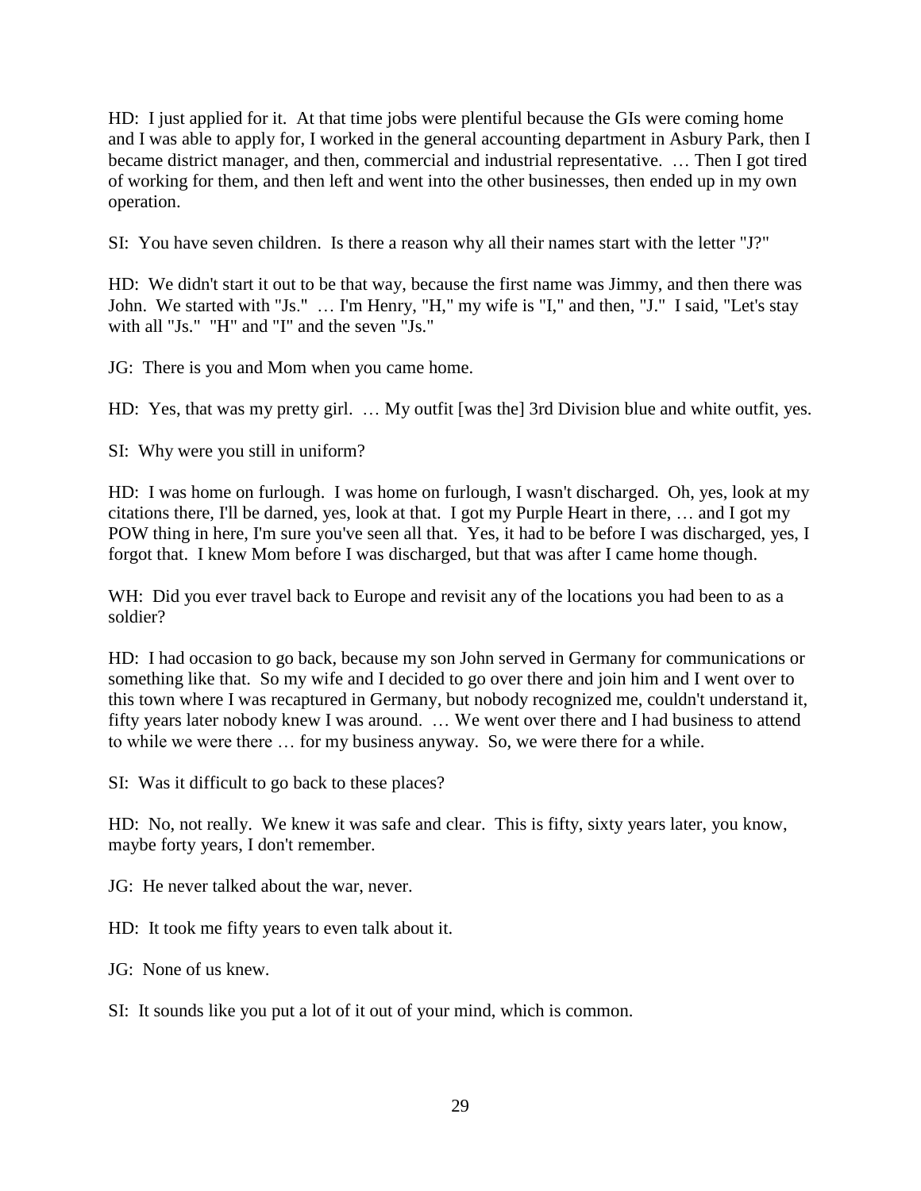HD: I just applied for it. At that time jobs were plentiful because the GIs were coming home and I was able to apply for, I worked in the general accounting department in Asbury Park, then I became district manager, and then, commercial and industrial representative. … Then I got tired of working for them, and then left and went into the other businesses, then ended up in my own operation.

SI: You have seven children. Is there a reason why all their names start with the letter "J?"

HD: We didn't start it out to be that way, because the first name was Jimmy, and then there was John. We started with "Js." … I'm Henry, "H," my wife is "I," and then, "J." I said, "Let's stay with all "Js." "H" and "I" and the seven "Js."

JG: There is you and Mom when you came home.

HD: Yes, that was my pretty girl. … My outfit [was the] 3rd Division blue and white outfit, yes.

SI: Why were you still in uniform?

HD: I was home on furlough. I was home on furlough, I wasn't discharged. Oh, yes, look at my citations there, I'll be darned, yes, look at that. I got my Purple Heart in there, … and I got my POW thing in here, I'm sure you've seen all that. Yes, it had to be before I was discharged, yes, I forgot that. I knew Mom before I was discharged, but that was after I came home though.

WH: Did you ever travel back to Europe and revisit any of the locations you had been to as a soldier?

HD: I had occasion to go back, because my son John served in Germany for communications or something like that. So my wife and I decided to go over there and join him and I went over to this town where I was recaptured in Germany, but nobody recognized me, couldn't understand it, fifty years later nobody knew I was around. … We went over there and I had business to attend to while we were there … for my business anyway. So, we were there for a while.

SI: Was it difficult to go back to these places?

HD: No, not really. We knew it was safe and clear. This is fifty, sixty years later, you know, maybe forty years, I don't remember.

JG: He never talked about the war, never.

HD: It took me fifty years to even talk about it.

JG: None of us knew.

SI: It sounds like you put a lot of it out of your mind, which is common.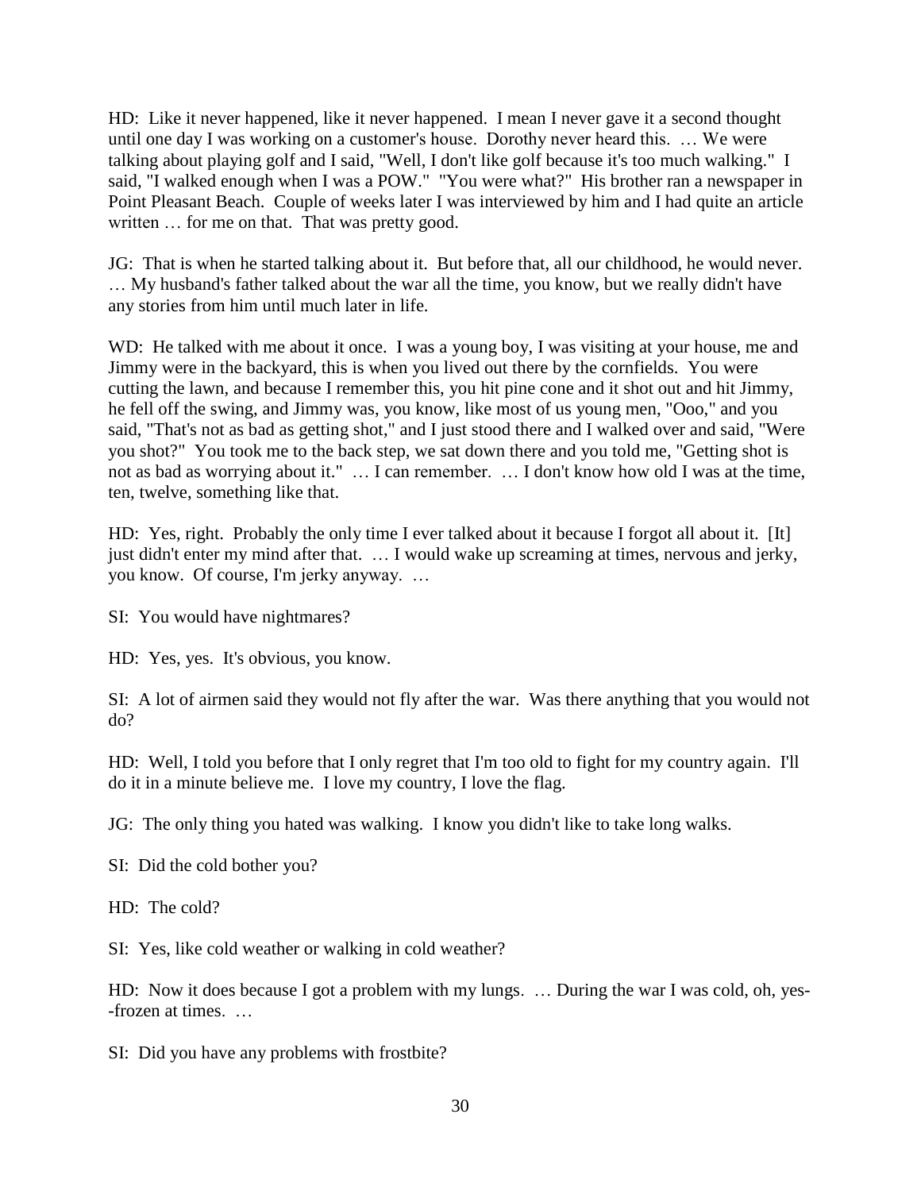HD: Like it never happened, like it never happened. I mean I never gave it a second thought until one day I was working on a customer's house. Dorothy never heard this. … We were talking about playing golf and I said, "Well, I don't like golf because it's too much walking." I said, "I walked enough when I was a POW." "You were what?" His brother ran a newspaper in Point Pleasant Beach. Couple of weeks later I was interviewed by him and I had quite an article written ... for me on that. That was pretty good.

JG: That is when he started talking about it. But before that, all our childhood, he would never. … My husband's father talked about the war all the time, you know, but we really didn't have any stories from him until much later in life.

WD: He talked with me about it once. I was a young boy, I was visiting at your house, me and Jimmy were in the backyard, this is when you lived out there by the cornfields. You were cutting the lawn, and because I remember this, you hit pine cone and it shot out and hit Jimmy, he fell off the swing, and Jimmy was, you know, like most of us young men, "Ooo," and you said, "That's not as bad as getting shot," and I just stood there and I walked over and said, "Were you shot?" You took me to the back step, we sat down there and you told me, "Getting shot is not as bad as worrying about it." … I can remember. … I don't know how old I was at the time, ten, twelve, something like that.

HD: Yes, right. Probably the only time I ever talked about it because I forgot all about it. [It] just didn't enter my mind after that. … I would wake up screaming at times, nervous and jerky, you know. Of course, I'm jerky anyway. …

SI: You would have nightmares?

HD: Yes, yes. It's obvious, you know.

SI: A lot of airmen said they would not fly after the war. Was there anything that you would not do?

HD: Well, I told you before that I only regret that I'm too old to fight for my country again. I'll do it in a minute believe me. I love my country, I love the flag.

JG: The only thing you hated was walking. I know you didn't like to take long walks.

SI: Did the cold bother you?

HD: The cold?

SI: Yes, like cold weather or walking in cold weather?

HD: Now it does because I got a problem with my lungs. ... During the war I was cold, oh, yes--frozen at times. …

SI: Did you have any problems with frostbite?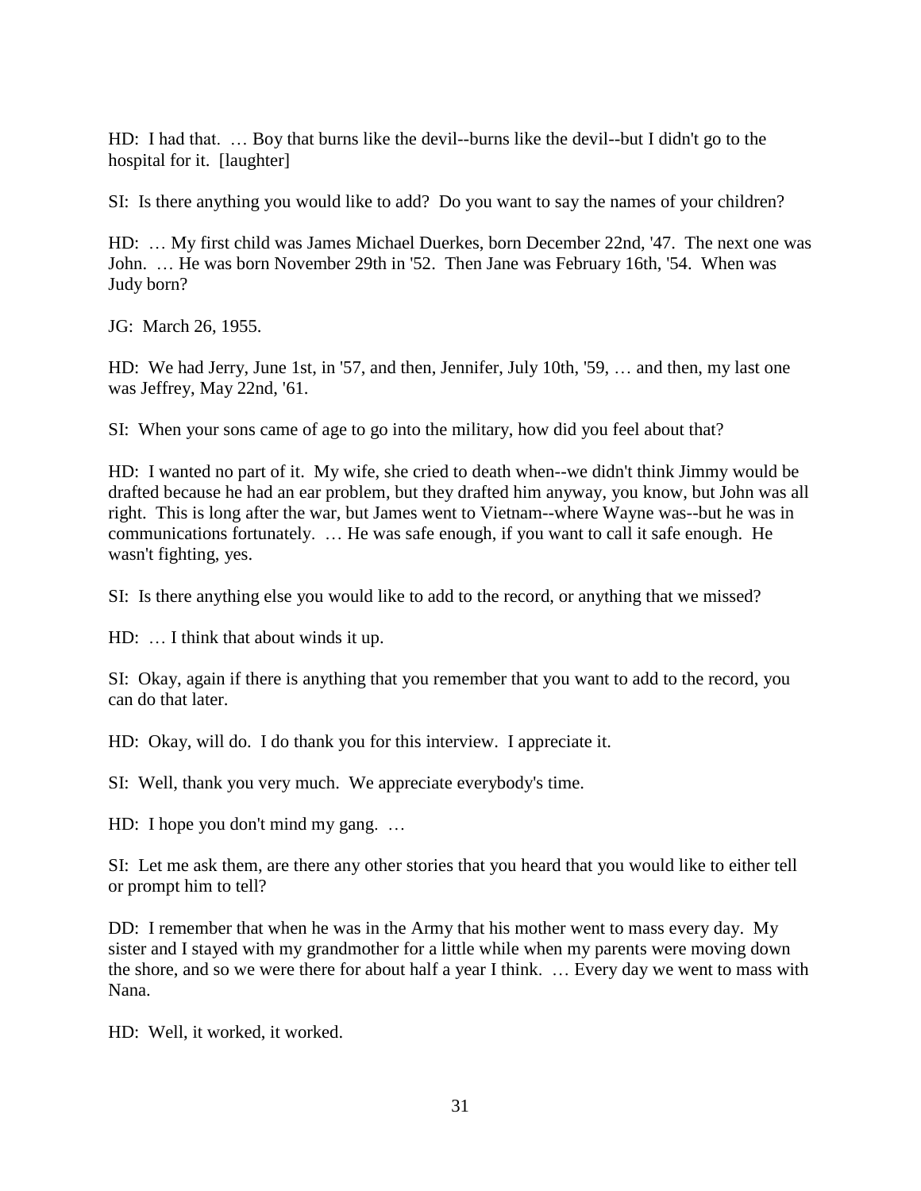HD: I had that. … Boy that burns like the devil--burns like the devil--but I didn't go to the hospital for it. [laughter]

SI: Is there anything you would like to add? Do you want to say the names of your children?

HD: … My first child was James Michael Duerkes, born December 22nd, '47. The next one was John. … He was born November 29th in '52. Then Jane was February 16th, '54. When was Judy born?

JG: March 26, 1955.

HD: We had Jerry, June 1st, in '57, and then, Jennifer, July 10th, '59, … and then, my last one was Jeffrey, May 22nd, '61.

SI: When your sons came of age to go into the military, how did you feel about that?

HD: I wanted no part of it. My wife, she cried to death when--we didn't think Jimmy would be drafted because he had an ear problem, but they drafted him anyway, you know, but John was all right. This is long after the war, but James went to Vietnam--where Wayne was--but he was in communications fortunately. … He was safe enough, if you want to call it safe enough. He wasn't fighting, yes.

SI: Is there anything else you would like to add to the record, or anything that we missed?

HD: … I think that about winds it up.

SI: Okay, again if there is anything that you remember that you want to add to the record, you can do that later.

HD: Okay, will do. I do thank you for this interview. I appreciate it.

SI: Well, thank you very much. We appreciate everybody's time.

HD: I hope you don't mind my gang. …

SI: Let me ask them, are there any other stories that you heard that you would like to either tell or prompt him to tell?

DD: I remember that when he was in the Army that his mother went to mass every day. My sister and I stayed with my grandmother for a little while when my parents were moving down the shore, and so we were there for about half a year I think. … Every day we went to mass with Nana.

HD: Well, it worked, it worked.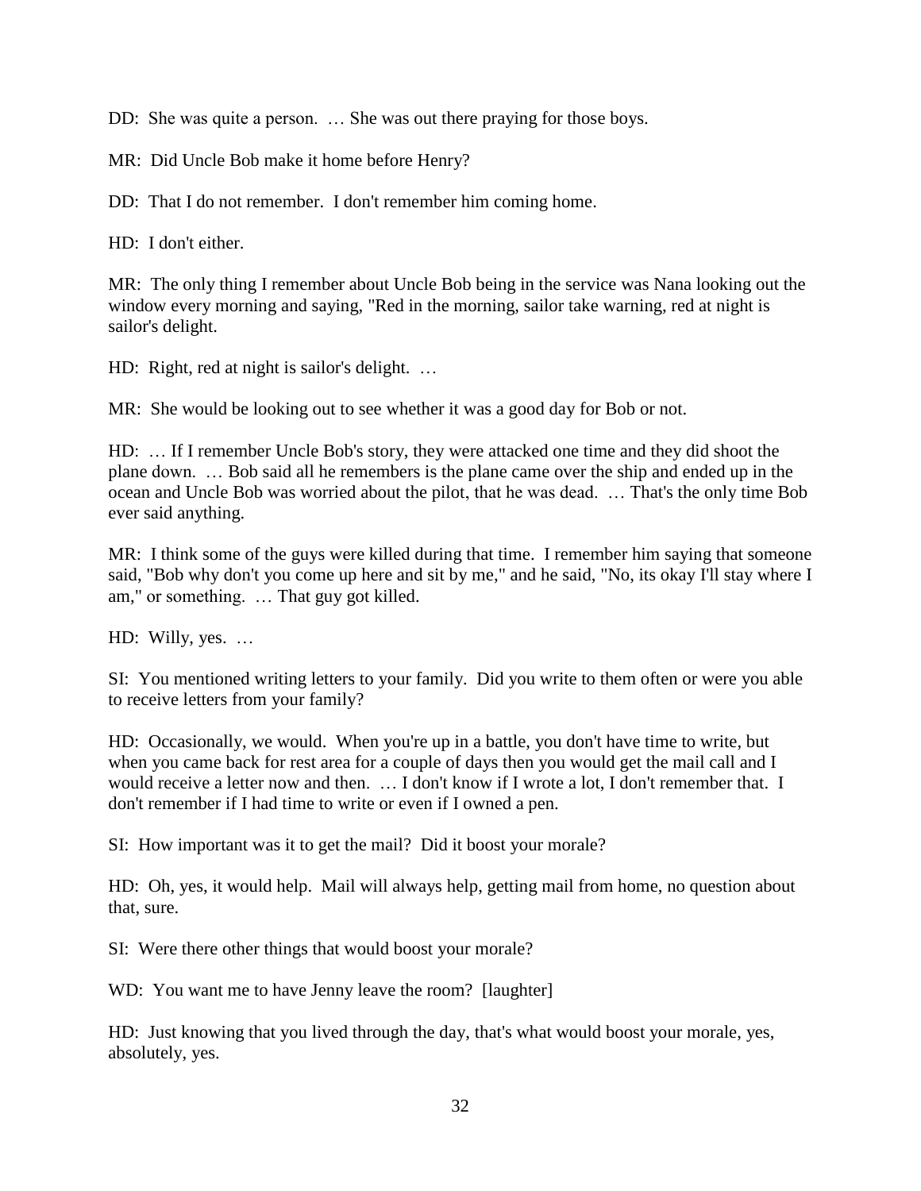DD: She was quite a person. … She was out there praying for those boys.

MR: Did Uncle Bob make it home before Henry?

DD: That I do not remember. I don't remember him coming home.

HD: I don't either.

MR: The only thing I remember about Uncle Bob being in the service was Nana looking out the window every morning and saying, "Red in the morning, sailor take warning, red at night is sailor's delight.

HD: Right, red at night is sailor's delight. ...

MR: She would be looking out to see whether it was a good day for Bob or not.

HD: … If I remember Uncle Bob's story, they were attacked one time and they did shoot the plane down. … Bob said all he remembers is the plane came over the ship and ended up in the ocean and Uncle Bob was worried about the pilot, that he was dead. … That's the only time Bob ever said anything.

MR: I think some of the guys were killed during that time. I remember him saying that someone said, "Bob why don't you come up here and sit by me," and he said, "No, its okay I'll stay where I am," or something. … That guy got killed.

HD: Willy, yes. …

SI: You mentioned writing letters to your family. Did you write to them often or were you able to receive letters from your family?

HD: Occasionally, we would. When you're up in a battle, you don't have time to write, but when you came back for rest area for a couple of days then you would get the mail call and I would receive a letter now and then. … I don't know if I wrote a lot, I don't remember that. I don't remember if I had time to write or even if I owned a pen.

SI: How important was it to get the mail? Did it boost your morale?

HD: Oh, yes, it would help. Mail will always help, getting mail from home, no question about that, sure.

SI: Were there other things that would boost your morale?

WD: You want me to have Jenny leave the room? [laughter]

HD: Just knowing that you lived through the day, that's what would boost your morale, yes, absolutely, yes.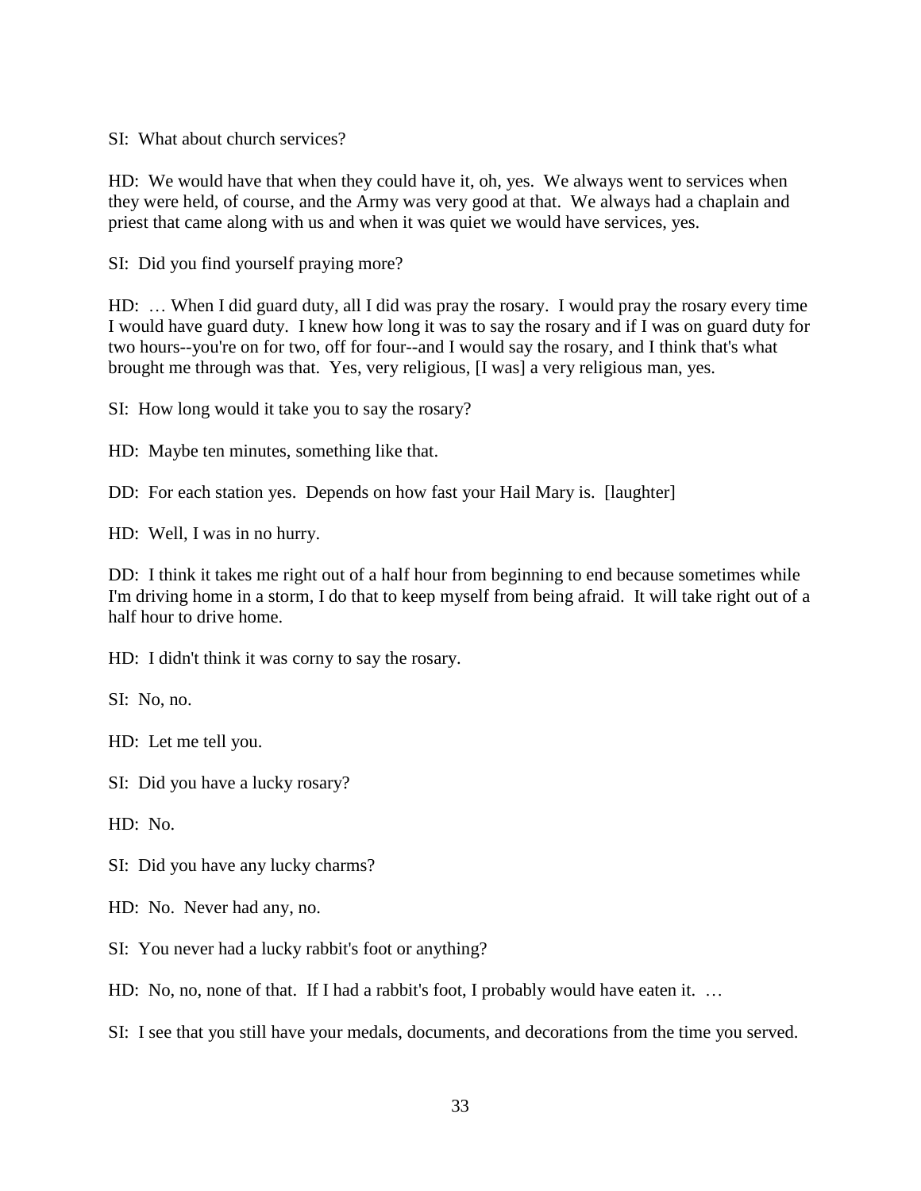SI: What about church services?

HD: We would have that when they could have it, oh, yes. We always went to services when they were held, of course, and the Army was very good at that. We always had a chaplain and priest that came along with us and when it was quiet we would have services, yes.

SI: Did you find yourself praying more?

HD: … When I did guard duty, all I did was pray the rosary. I would pray the rosary every time I would have guard duty. I knew how long it was to say the rosary and if I was on guard duty for two hours--you're on for two, off for four--and I would say the rosary, and I think that's what brought me through was that. Yes, very religious, [I was] a very religious man, yes.

SI: How long would it take you to say the rosary?

HD: Maybe ten minutes, something like that.

DD: For each station yes. Depends on how fast your Hail Mary is. [laughter]

HD: Well, I was in no hurry.

DD: I think it takes me right out of a half hour from beginning to end because sometimes while I'm driving home in a storm, I do that to keep myself from being afraid. It will take right out of a half hour to drive home.

HD: I didn't think it was corny to say the rosary.

SI: No, no.

HD: Let me tell you.

SI: Did you have a lucky rosary?

HD: No.

SI: Did you have any lucky charms?

HD: No. Never had any, no.

SI: You never had a lucky rabbit's foot or anything?

HD: No, no, none of that. If I had a rabbit's foot, I probably would have eaten it. …

SI: I see that you still have your medals, documents, and decorations from the time you served.